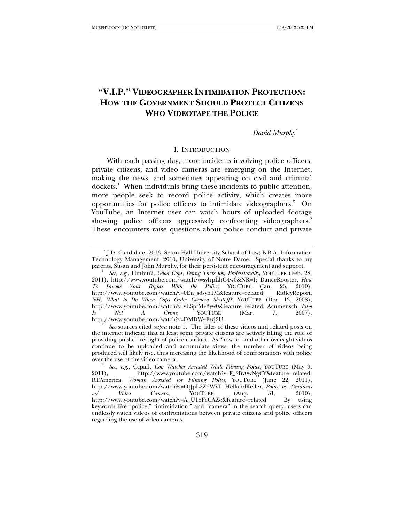# **"V.I.P." VIDEOGRAPHER INTIMIDATION PROTECTION: HOW THE GOVERNMENT SHOULD PROTECT CITIZENS WHO VIDEOTAPE THE POLICE**

### *David Murphy\**

### I. INTRODUCTION

With each passing day, more incidents involving police officers, private citizens, and video cameras are emerging on the Internet, making the news, and sometimes appearing on civil and criminal dockets.<sup>1</sup> When individuals bring these incidents to public attention, more people seek to record police activity, which creates more opportunities for police officers to intimidate videographers.<sup>2</sup> On YouTube, an Internet user can watch hours of uploaded footage showing police officers aggressively confronting videographers.<sup>3</sup> These encounters raise questions about police conduct and private

<sup>\*</sup> J.D. Candidate, 2013, Seton Hall University School of Law; B.B.A. Information Technology Management, 2010, University of Notre Dame. Special thanks to my parents, Susan and John Murphy, for their persistent encouragement and support. 1

*See, e.g.*, Hinhin2, *Good Cops, Doing Their Job, Professionally*, YOUTUBE (Feb. 28, 2011), http://www.youtube.com/watch?v=sylrpLhG4w0&NR=1; DanceRooster, *How To Invoke Your Rights With the Police*, YOUTUBE (Jan. 23, 2010), http://www.youtube.com/watch?v=0En\_sdsyh1M&feature=related; RidleyReport, *NH: What to Do When Cops Order Camera Shutoff?*, YOUTUBE (Dec. 13, 2008), http://www.youtube.com/watch?v=vLSptMe3yw0&feature=related; Acumensch, *Film Is Not A Crime*, YOUTUBE (Mar. 7, 2007), http://www.youtube.com/watch?v=DMDW4Fszj2U. 2

*See* sources cited *supra* note 1. The titles of these videos and related posts on the internet indicate that at least some private citizens are actively filling the role of providing public oversight of police conduct. As "how to" and other oversight videos continue to be uploaded and accumulate views, the number of videos being produced will likely rise, thus increasing the likelihood of confrontations with police over the use of the video camera.

<sup>&</sup>lt;sup>3</sup> See, e.g., Ccpafl, *Cop Watcher Arrested While Filming Police*, YOUTUBE (May 9, 2011), http://www.voutube.com/watch?v=F 8Bv0wNgCY&feature=related; http://www.youtube.com/watch?v=F\_8Bv0wNgCY&feature=related; RTAmerica, *Woman Arrested for Filming Police*, YOUTUBE (June 22, 2011), http://www.youtube.com/watch?v=OtJpL2ZdWVI; HellandKeller, *Police vs. Civilians w/ Video Camera*, YOUTUBE (Aug. 31, 2010), http://www.youtube.com/watch?v=A\_U1oFcCAZo&feature=related. By using keywords like "police," "intimidation," and "camera" in the search query, users can endlessly watch videos of confrontations between private citizens and police officers regarding the use of video cameras.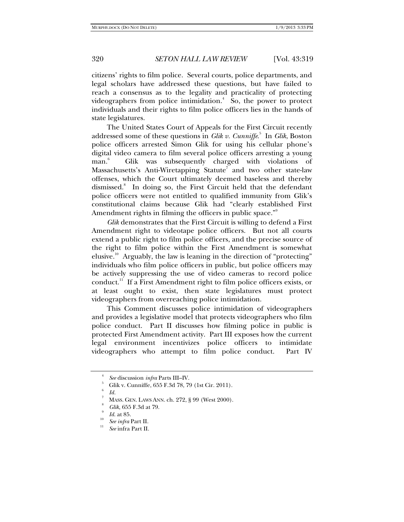citizens' rights to film police. Several courts, police departments, and legal scholars have addressed these questions, but have failed to reach a consensus as to the legality and practicality of protecting videographers from police intimidation. $\delta$  So, the power to protect individuals and their rights to film police officers lies in the hands of state legislatures.

The United States Court of Appeals for the First Circuit recently addressed some of these questions in *Glik v. Cunniffe*. 5 In *Glik*, Boston police officers arrested Simon Glik for using his cellular phone's digital video camera to film several police officers arresting a young man.<sup>6</sup> Glik was subsequently charged with violations of Massachusetts's Anti-Wiretapping Statute<sup>7</sup> and two other state-law offenses, which the Court ultimately deemed baseless and thereby dismissed.<sup>8</sup> In doing so, the First Circuit held that the defendant police officers were not entitled to qualified immunity from Glik's constitutional claims because Glik had "clearly established First Amendment rights in filming the officers in public space."<sup>9</sup>

*Glik* demonstrates that the First Circuit is willing to defend a First Amendment right to videotape police officers. But not all courts extend a public right to film police officers, and the precise source of the right to film police within the First Amendment is somewhat elusive.<sup>10</sup> Arguably, the law is leaning in the direction of "protecting" individuals who film police officers in public, but police officers may be actively suppressing the use of video cameras to record police conduct.11 If a First Amendment right to film police officers exists, or at least ought to exist, then state legislatures must protect videographers from overreaching police intimidation.

This Comment discusses police intimidation of videographers and provides a legislative model that protects videographers who film police conduct. Part II discusses how filming police in public is protected First Amendment activity. Part III exposes how the current legal environment incentivizes police officers to intimidate videographers who attempt to film police conduct. Part IV

<sup>4</sup> *See* discussion *infra* Parts III–IV.

Glik v. Cunniffe, 655 F.3d 78, 79 (1st Cir. 2011).

<sup>6</sup>  $Id.$ 

MASS. GEN. LAWS ANN. ch. 272, § 99 (West 2000). 8

*Glik*, 655 F.3d at 79.<br>*Id.* at 85.

 $\int_{11}^{10}$  *See infra* Part II.

*See* infra Part II.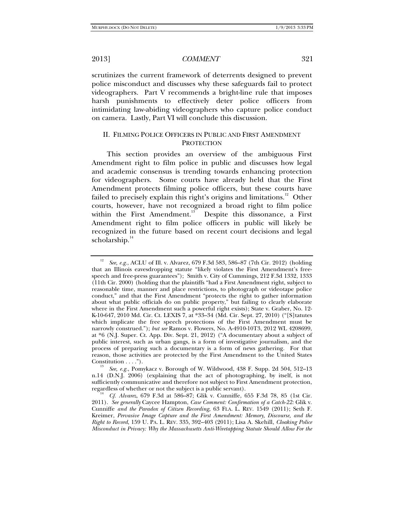scrutinizes the current framework of deterrents designed to prevent police misconduct and discusses why these safeguards fail to protect videographers. Part V recommends a bright-line rule that imposes harsh punishments to effectively deter police officers from intimidating law-abiding videographers who capture police conduct on camera. Lastly, Part VI will conclude this discussion.

# II. FILMING POLICE OFFICERS IN PUBLIC AND FIRST AMENDMENT **PROTECTION**

This section provides an overview of the ambiguous First Amendment right to film police in public and discusses how legal and academic consensus is trending towards enhancing protection for videographers. Some courts have already held that the First Amendment protects filming police officers, but these courts have failed to precisely explain this right's origins and limitations.<sup>12</sup> Other courts, however, have not recognized a broad right to film police within the First Amendment.<sup>13</sup> Despite this dissonance, a First Amendment right to film police officers in public will likely be recognized in the future based on recent court decisions and legal  $scholarship.<sup>14</sup>$ 

<sup>12</sup> *See, e.g.*, ACLU of Ill. v. Alvarez, 679 F.3d 583, 586–87 (7th Cir. 2012) (holding that an Illinois eavesdropping statute "likely violates the First Amendment's freespeech and free-press guarantees"); Smith v. City of Cummings, 212 F.3d 1332, 1333 (11th Cir. 2000) (holding that the plaintiffs "had a First Amendment right, subject to reasonable time, manner and place restrictions, to photograph or videotape police conduct," and that the First Amendment "protects the right to gather information about what public officials do on public property," but failing to clearly elaborate where in the First Amendment such a powerful right exists); State v. Graber, No. 12- K-10-647, 2010 Md. Cir. Ct. LEXIS 7, at \*33–34 (Md. Cir. Sept. 27, 2010) ("[S]tatutes which implicate the free speech protections of the First Amendment must be narrowly construed."); *but see* Ramos v. Flowers, No. A-4910-10T3, 2012 WL 4208699, at \*6 (N.J. Super. Ct. App. Div. Sept. 21, 2012) ("A documentary about a subject of public interest, such as urban gangs, is a form of investigative journalism, and the process of preparing such a documentary is a form of news gathering. For that reason, those activities are protected by the First Amendment to the United States Constitution . . . .").

*See, e.g.*, Pomykacz v. Borough of W. Wildwood, 438 F. Supp. 2d 504, 512–13 n.14 (D.N.J. 2006) (explaining that the act of photographing, by itself, is not sufficiently communicative and therefore not subject to First Amendment protection, regardless of whether or not the subject is a public servant).

*Cf. Alvarez*, 679 F.3d at 586–87; Glik v. Cunniffe, 655 F.3d 78, 85 (1st Cir. 2011). *See generally* Caycee Hampton, *Case Comment: Confirmation of a Catch-22:* Glik v. Cunniffe *and the Paradox of Citizen Recording*, 63 FLA. L. REV. 1549 (2011); Seth F. Kreimer, *Pervasive Image Capture and the First Amendment: Memory, Discourse, and the Right to Record*, 159 U. PA. L. REV. 335, 392–403 (2011); Lisa A. Skehill, *Cloaking Police Misconduct in Privacy: Why the Massachusetts Anti-Wiretapping Statute Should Allow For the*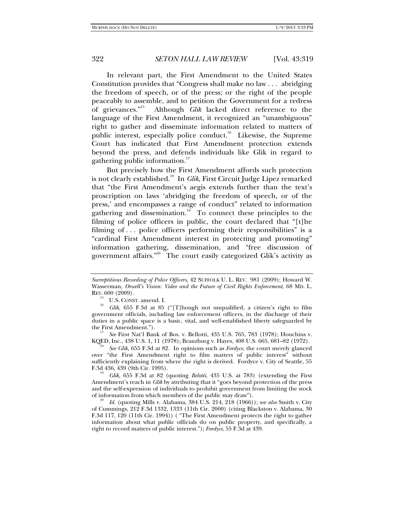In relevant part, the First Amendment to the United States Constitution provides that "Congress shall make no law . . . abridging the freedom of speech, or of the press; or the right of the people peaceably to assemble, and to petition the Government for a redress of grievances."15 Although *Glik* lacked direct reference to the language of the First Amendment, it recognized an "unambiguous" right to gather and disseminate information related to matters of public interest, especially police conduct.<sup>16</sup> Likewise, the Supreme Court has indicated that First Amendment protection extends beyond the press, and defends individuals like Glik in regard to gathering public information.<sup>17</sup>

But precisely how the First Amendment affords such protection is not clearly established.18 In *Glik*, First Circuit Judge Lipez remarked that "the First Amendment's aegis extends further than the text's proscription on laws 'abridging the freedom of speech, or of the press,' and encompasses a range of conduct" related to information gathering and dissemination.<sup>19</sup> To connect these principles to the filming of police officers in public, the court declared that "[t]he filming of . . . police officers performing their responsibilities" is a "cardinal First Amendment interest in protecting and promoting" information gathering, dissemination, and "free discussion of government affairs."20 The court easily categorized Glik's activity as

 *See* First Nat'l Bank of Bos. v. Bellotti, 435 U.S. 765, 783 (1978); Houchins v. KQED, Inc., 438 U.S. 1, 11 (1978); Branzburg v. Hayes, 408 U.S. 665, 681-82 (1972).

 *See Glik*, 655 F.3d at 82. In opinions such as *Fordyce*, the court merely glanced over "the First Amendment right to film matters of public interest" without sufficiently explaining from where the right is derived. Fordyce v. City of Seattle, 55 F.3d 436, 439 (9th Cir. 1995). 19 *Glik*, 655 F.3d at 82 (quoting *Belotti*, 435 U.S. at 783) (extending the First

Amendment's reach in *Glik* by attributing that it "goes beyond protection of the press and the self-expression of individuals to prohibit government from limiting the stock of information from which members of the public may draw").

 *Id.* (quoting Mills v. Alabama, 384 U.S. 214, 218 (1966)); s*ee also* Smith v. City of Cummings, 212 F.3d 1332, 1333 (11th Cir. 2000) (citing Blackston v. Alabama, 30 F.3d 117, 120 (11th Cir. 1994)) ( "The First Amendment protects the right to gather information about what public officials do on public property, and specifically, a right to record matters of public interest."); *Fordyce*, 55 F.3d at 439.

*Surreptitious Recording of Police Officers*, 42 SUFFOLK U. L. REV. 981 (2009); Howard W. Wasserman, *Orwell's Vision: Video and the Future of Civil Rights Enforcement*, 68 MD. L.

U.S. CONST. amend. I.<br>*Glik*, 655 F.3d at 85 ("[T]hough not unqualified, a citizen's right to film government officials, including law enforcement officers, in the discharge of their duties in a public space is a basic, vital, and well-established liberty safeguarded by the First Amendment.").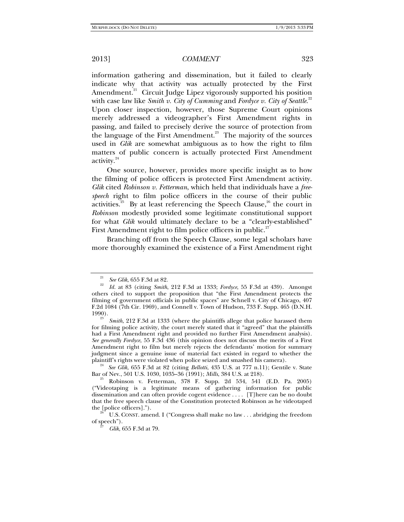information gathering and dissemination, but it failed to clearly indicate why that activity was actually protected by the First Amendment.<sup>21</sup> Circuit Judge Lipez vigorously supported his position with case law like *Smith v. City of Cumming* and *Fordyce v. City of Seattle*.<sup>22</sup> Upon closer inspection, however, those Supreme Court opinions merely addressed a videographer's First Amendment rights in passing, and failed to precisely derive the source of protection from the language of the First Amendment.<sup>23</sup> The majority of the sources used in *Glik* are somewhat ambiguous as to how the right to film matters of public concern is actually protected First Amendment activity.<sup>24</sup>

One source, however, provides more specific insight as to how the filming of police officers is protected First Amendment activity. *Glik* cited *Robinson v. Fetterman*, which held that individuals have a *freespeech* right to film police officers in the course of their public activities.<sup>25</sup> By at least referencing the Speech Clause,<sup>26</sup> the court in *Robinson* modestly provided some legitimate constitutional support for what *Glik* would ultimately declare to be a "clearly-established" First Amendment right to film police officers in public.<sup>27</sup>

Branching off from the Speech Clause, some legal scholars have more thoroughly examined the existence of a First Amendment right

<sup>&</sup>lt;sup>21</sup> See Glik, 655 F.3d at 82.

*Id.* at 83 (citing *Smith*, 212 F.3d at 1333; *Fordyce*, 55 F.3d at 439). Amongst others cited to support the proposition that "the First Amendment protects the filming of government officials in public spaces" are Schnell v. City of Chicago, 407 F.2d 1084 (7th Cir. 1969), and Connell v. Town of Hudson, 733 F. Supp. 465 (D.N.H.  $1990$ .

*Smith*, 212 F.3d at 1333 (where the plaintiffs allege that police harassed them for filming police activity, the court merely stated that it "agreed" that the plaintiffs had a First Amendment right and provided no further First Amendment analysis). *See generally Fordyce*, 55 F.3d 436 (this opinion does not discuss the merits of a First Amendment right to film but merely rejects the defendants' motion for summary judgment since a genuine issue of material fact existed in regard to whether the plaintiff's rights were violated when police seized and smashed his camera).

<sup>&</sup>lt;sup>24</sup> See Glik, 655 F.3d at 82 (citing *Bellotti*, 435 U.S. at 777 n.11); Gentile v. State Bar of Nev., 501 U.S. 1030, 1035–36 (1991); *Mills*, 384 U.S. at 218).

<sup>&</sup>lt;sup>25</sup> Robinson v. Fetterman, 378 F. Supp. 2d 534, 541 (E.D. Pa. 2005) ("Videotaping is a legitimate means of gathering information for public dissemination and can often provide cogent evidence . . . . [T]here can be no doubt that the free speech clause of the Constitution protected Robinson as he videotaped the [police officers].").<br><sup>26</sup> U.S. CONST. amend. I ("Congress shall make no law . . . abridging the freedom

of speech").

*Glik*, 655 F.3d at 79.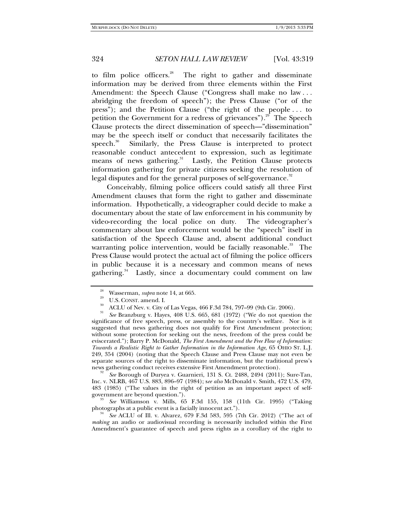to film police officers.<sup>28</sup> The right to gather and disseminate information may be derived from three elements within the First Amendment: the Speech Clause ("Congress shall make no law ... abridging the freedom of speech"); the Press Clause ("or of the press"); and the Petition Clause ("the right of the people . . . to petition the Government for a redress of grievances").<sup>29</sup> The Speech Clause protects the direct dissemination of speech—"dissemination" may be the speech itself or conduct that necessarily facilitates the speech. $30$  Similarly, the Press Clause is interpreted to protect reasonable conduct antecedent to expression, such as legitimate means of news gathering.<sup>31</sup> Lastly, the Petition Clause protects information gathering for private citizens seeking the resolution of legal disputes and for the general purposes of self-governance.<sup>32</sup>

Conceivably, filming police officers could satisfy all three First Amendment clauses that form the right to gather and disseminate information. Hypothetically, a videographer could decide to make a documentary about the state of law enforcement in his community by video-recording the local police on duty. The videographer's commentary about law enforcement would be the "speech" itself in satisfaction of the Speech Clause and, absent additional conduct warranting police intervention, would be facially reasonable.<sup>33</sup> The Press Clause would protect the actual act of filming the police officers in public because it is a necessary and common means of news gathering.<sup>34</sup> Lastly, since a documentary could comment on law

31 *See* Branzburg v. Hayes, 408 U.S. 665, 681 (1972) ("We do not question the significance of free speech, press, or assembly to the country's welfare. Nor is it suggested that news gathering does not qualify for First Amendment protection; without some protection for seeking out the news, freedom of the press could be eviscerated."); Barry P. McDonald, *The First Amendment and the Free Flow of Information: Towards a Realistic Right to Gather Information in the Information Age*, 65 OHIO ST. L.J. 249, 354 (2004) (noting that the Speech Clause and Press Clause may not even be separate sources of the right to disseminate information, but the traditional press's news gathering conduct receives extensive First Amendment protection).

 *See* Borough of Duryea v. Guarnieri, 131 S. Ct. 2488, 2494 (2011); Sure-Tan, Inc. v. NLRB, 467 U.S. 883, 896–97 (1984); s*ee also* McDonald v. Smith, 472 U.S. 479, 483 (1985) ("The values in the right of petition as an important aspect of self-

<sup>33</sup> *See* Williamson v. Mills, 65 F.3d 155, 158 (11th Cir. 1995) ("Taking photographs at a public event is a facially innocent act.").

*See* ACLU of Ill. v. Alvarez, 679 F.3d 583, 595 (7th Cir. 2012) ("The act of *making* an audio or audiovisual recording is necessarily included within the First Amendment's guarantee of speech and press rights as a corollary of the right to

<sup>&</sup>lt;sup>28</sup> Wasserman, *supra* note 14, at 665.<br><sup>29</sup> U.S. CONST. amend. I.<br><sup>30</sup> ACLU of Nev. v. City of Las Vegas, 466 F.3d 784, 797–99 (9th Cir. 2006).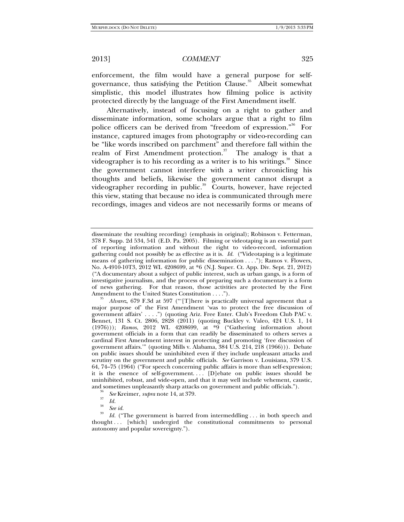enforcement, the film would have a general purpose for selfgovernance, thus satisfying the Petition Clause.<sup>35</sup> Albeit somewhat simplistic, this model illustrates how filming police is activity protected directly by the language of the First Amendment itself.

Alternatively, instead of focusing on a right to gather and disseminate information, some scholars argue that a right to film police officers can be derived from "freedom of expression."36 For instance, captured images from photography or video-recording can be "like words inscribed on parchment" and therefore fall within the realm of First Amendment protection. $37$  The analogy is that a videographer is to his recording as a writer is to his writings. $\frac{38}{10}$  Since the government cannot interfere with a writer chronicling his thoughts and beliefs, likewise the government cannot disrupt a videographer recording in public.<sup>39</sup> Courts, however, have rejected this view, stating that because no idea is communicated through mere recordings, images and videos are not necessarily forms or means of

 *Alvarez*, 679 F.3d at 597 ("'[T]here is practically universal agreement that a major purpose of' the First Amendment 'was to protect the free discussion of government affairs' . . . .") (quoting Ariz. Free Enter. Club's Freedom Club PAC v. Bennet, 131 S. Ct. 2806, 2828 (2011) (quoting Buckley v. Valeo, 424 U.S. 1, 14 (1976))); *Ramos*, 2012 WL 4208699, at \*9 ("Gathering information about government officials in a form that can readily be disseminated to others serves a cardinal First Amendment interest in protecting and promoting 'free discussion of government affairs.'" (quoting Mills v. Alabama, 384 U.S. 214, 218 (1966))). Debate on public issues should be uninhibited even if they include unpleasant attacks and scrutiny on the government and public officials. *See* Garrison v. Louisiana, 379 U.S. 64, 74–75 (1964) ("For speech concerning public affairs is more than self-expression; it is the essence of self-government. . . . [D]ebate on public issues should be uninhibited, robust, and wide-open, and that it may well include vehement, caustic, and sometimes unpleasantly sharp attacks on government and public officials.").<br><sup>36</sup> *See* Kreimer, *supra* note 14, at 379.

disseminate the resulting recording) (emphasis in original); Robinson v. Fetterman, 378 F. Supp. 2d 534, 541 (E.D. Pa. 2005)*.* Filming or videotaping is an essential part of reporting information and without the right to video-record, information gathering could not possibly be as effective as it is. *Id.* ("Videotaping is a legitimate means of gathering information for public dissemination . . . ."); Ramos v. Flowers, No. A-4910-10T3, 2012 WL 4208699, at \*6 (N.J. Super. Ct. App. Div. Sept. 21, 2012) ("A documentary about a subject of public interest, such as urban gangs, is a form of investigative journalism, and the process of preparing such a documentary is a form of news gathering. For that reason, those activities are protected by the First Amendment to the United States Constitution . . . .").

 $\frac{37}{38}$  *Id.* See id.

<sup>&</sup>lt;sup>39</sup> Id. ("The government is barred from intermeddling ... in both speech and thought . . . [which] undergird the constitutional commitments to personal autonomy and popular sovereignty.").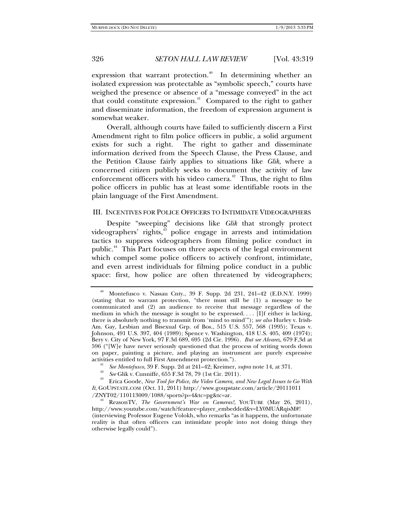expression that warrant protection.<sup> $40$ </sup> In determining whether an isolated expression was protectable as "symbolic speech," courts have weighed the presence or absence of a "message conveyed" in the act that could constitute expression.<sup>41</sup> Compared to the right to gather and disseminate information, the freedom of expression argument is somewhat weaker.

Overall, although courts have failed to sufficiently discern a First Amendment right to film police officers in public, a solid argument exists for such a right. The right to gather and disseminate information derived from the Speech Clause, the Press Clause, and the Petition Clause fairly applies to situations like *Glik*, where a concerned citizen publicly seeks to document the activity of law enforcement officers with his video camera. $42$  Thus, the right to film police officers in public has at least some identifiable roots in the plain language of the First Amendment.

### III. INCENTIVES FOR POLICE OFFICERS TO INTIMIDATE VIDEOGRAPHERS

Despite "sweeping" decisions like *Glik* that strongly protect videographers' rights*,* 43 police engage in arrests and intimidation tactics to suppress videographers from filming police conduct in public.<sup>44</sup> This Part focuses on three aspects of the legal environment which compel some police officers to actively confront, intimidate, and even arrest individuals for filming police conduct in a public space: first, how police are often threatened by videographers;

<sup>40</sup> Montefusco v. Nassau Cnty., 39 F. Supp. 2d 231, 241–42 (E.D.N.Y. 1999) (stating that to warrant protection, "there must still be (1) a message to be communicated and (2) an audience to receive that message regardless of the medium in which the message is sought to be expressed. . . . [I]f either is lacking, there is absolutely nothing to transmit from 'mind to mind'"); *see also* Hurley v. Irish-Am. Gay, Lesbian and Bisexual Grp. of Bos., 515 U.S. 557, 568 (1995); Texas v. Johnson, 491 U.S. 397, 404 (1989); Spence v. Washington, 418 U.S. 405, 409 (1974); Bery v. City of New York, 97 F.3d 689, 695 (2d Cir. 1996). *But see Alvarez*, 679 F,3d at 596 ("[W]e have never seriously questioned that the process of writing words down on paper, painting a picture, and playing an instrument are purely expressive activities entitled to full First Amendment protection.").<br><sup>41</sup> See Montefusco, 39 F. Supp. 2d at 241–42; Kreimer, *supra* note 14, at 371.

<sup>&</sup>lt;sup>42</sup> See Glik v. Cunniffe,  $655$  F.3d 78, 79 (1st Cir. 2011).<br><sup>43</sup> Erica Goode, *New Tool for Police, the Video Camera, and New Legal Issues to Go With It*, GOUPSTATE.COM (Oct. 11, 2011) http://www.goupstate.com/article/20111011<br>/ZNYT02/110113009/1088/sports?p=4&tc=pg&tc=ar.

ReasonTV, The Government's War on Cameras!, YOUTUBE (May 26, 2011), http://www.youtube.com/watch?feature=player\_embedded&v=LY0MUARqisM#! (interviewing Professor Eugene Volokh, who remarks "as it happens, the unfortunate reality is that often officers can intimidate people into not doing things they otherwise legally could").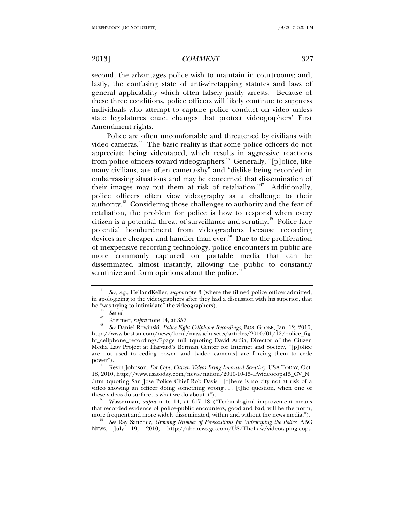second, the advantages police wish to maintain in courtrooms; and, lastly, the confusing state of anti-wiretapping statutes and laws of general applicability which often falsely justify arrests. Because of these three conditions, police officers will likely continue to suppress individuals who attempt to capture police conduct on video unless state legislatures enact changes that protect videographers' First Amendment rights.

Police are often uncomfortable and threatened by civilians with video cameras. $45$  The basic reality is that some police officers do not appreciate being videotaped, which results in aggressive reactions from police officers toward videographers.<sup>46</sup> Generally, "[p]olice, like many civilians, are often camera-shy" and "dislike being recorded in embarrassing situations and may be concerned that dissemination of their images may put them at risk of retaliation."<sup>47</sup> Additionally, police officers often view videography as a challenge to their authority.48 Considering those challenges to authority and the fear of retaliation, the problem for police is how to respond when every citizen is a potential threat of surveillance and scrutiny.<sup>49</sup> Police face potential bombardment from videographers because recording devices are cheaper and handier than ever.<sup>50</sup> Due to the proliferation of inexpensive recording technology, police encounters in public are more commonly captured on portable media that can be disseminated almost instantly, allowing the public to constantly scrutinize and form opinions about the police.<sup>5</sup>

Kevin Johnson, *For Cops, Citizen Videos Bring Increased Scrutiny*, USA TODAY, Oct. 18, 2010, http://www.usatoday.com/news/nation/2010-10-15-1Avideocops15\_CV\_N .htm (quoting San Jose Police Chief Rob Davis, "[t]here is no city not at risk of a video showing an officer doing something wrong . . . [t]he question, when one of these videos do surface, is what we do about it").

Wasserman, *supra* note 14, at 617–18 ("Technological improvement means that recorded evidence of police-public encounters, good and bad, will be the norm, more frequent and more widely disseminated, within and without the news media.").

more frequent and more widely disseminated, within and without the news media."). 51 *See* Ray Sanchez, *Growing Number of Prosecutions for Videotaping the Police*, ABC NEWS, July 19, 2010, http://abcnews.go.com/US/TheLaw/videotaping-cops-

<sup>45</sup> *See, e.g.*, HellandKeller, *supra* note 3 (where the filmed police officer admitted, in apologizing to the videographers after they had a discussion with his superior, that he "was trying to intimidate" the videographers).

he "was trying to intimidate" the videographers). 46 *See id.* 47 Kreimer, *supra* note 14, at 357. 48 *See* Daniel Rowinski, *Police Fight Cellphone Recordings*, BOS. GLOBE, Jan. 12, 2010, http://www.boston.com/news/local/massachusetts/articles/2010/01/12/police\_fig ht\_cellphone\_recordings/?page=full (quoting David Ardia, Director of the Citizen Media Law Project at Harvard's Berman Center for Internet and Society, "[p]olice are not used to ceding power, and [video cameras] are forcing them to cede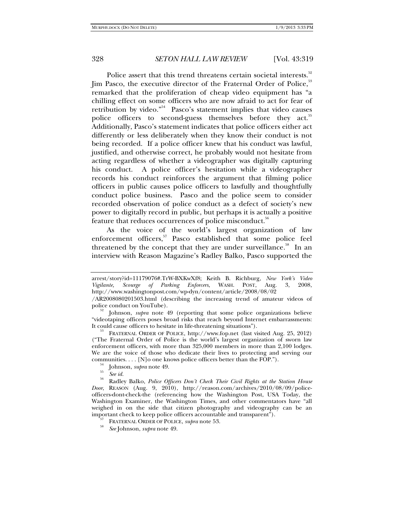Police assert that this trend threatens certain societal interests.<sup>52</sup> Jim Pasco, the executive director of the Fraternal Order of Police,<sup>53</sup> remarked that the proliferation of cheap video equipment has "a chilling effect on some officers who are now afraid to act for fear of retribution by video."54 Pasco's statement implies that video causes police officers to second-guess themselves before they act.<sup>55</sup> Additionally, Pasco's statement indicates that police officers either act differently or less deliberately when they know their conduct is not being recorded. If a police officer knew that his conduct was lawful, justified, and otherwise correct, he probably would not hesitate from acting regardless of whether a videographer was digitally capturing his conduct. A police officer's hesitation while a videographer records his conduct reinforces the argument that filming police officers in public causes police officers to lawfully and thoughtfully conduct police business. Pasco and the police seem to consider recorded observation of police conduct as a defect of society's new power to digitally record in public, but perhaps it is actually a positive feature that reduces occurrences of police misconduct.<sup>56</sup>

As the voice of the world's largest organization of law enforcement officers,<sup>57</sup> Pasco established that some police feel threatened by the concept that they are under surveillance.<sup>58</sup> In an interview with Reason Magazine's Radley Balko, Pasco supported the

FRATERNAL ORDER OF POLICE, http://www.fop.net (last visited Aug. 25, 2012). ("The Fraternal Order of Police is the world's largest organization of sworn law enforcement officers, with more than 325,000 members in more than 2,100 lodges. We are the voice of those who dedicate their lives to protecting and serving our communities.... [N] o one knows police officers better than the FOP.").

- 
- 

arrest/story?id=11179076#.TrW-BXKwXf8; Keith B. Richburg, *New York's Video Vigilante, Scourge of Parking Enforcers*, WASH. POST, Aug. 3, 2008, http://www.washingtonpost.com/wp-dyn/content/article/2008/08/02

<sup>/</sup>AR2008080201503.html (describing the increasing trend of amateur videos of

Johnson, *supra* note 49 (reporting that some police organizations believe "videotaping officers poses broad risks that reach beyond Internet embarrassments:

<sup>&</sup>lt;sup>54</sup> Johnson, *supra* note 49.<br><sup>55</sup> *See id.* <br><sup>56</sup> Radley Balko, *Police Officers Don't Check Their Civil Rights at the Station House Door*, REASON (Aug. 9, 2010), http://reason.com/archives/2010/08/09/policeofficers-dont-check-the (referencing how the Washington Post, USA Today, the Washington Examiner, the Washington Times, and other commentators have "all weighed in on the side that citizen photography and videography can be an important check to keep police officers accountable and transparent<sup>"</sup>).<br><sup>57</sup> FRATERNAL ORDER OF POLICE, *supra* note 53.

*See* Johnson, *supra* note 49.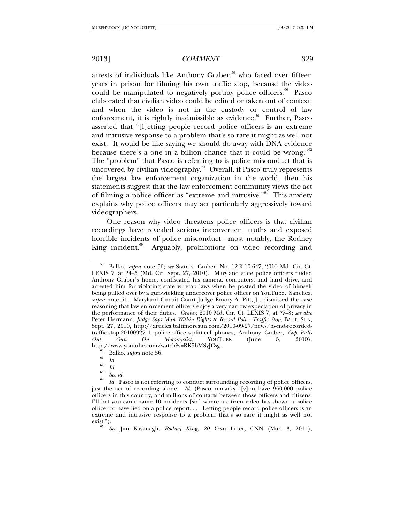arrests of individuals like Anthony Graber, $59$  who faced over fifteen years in prison for filming his own traffic stop, because the video could be manipulated to negatively portray police officers.<sup>60</sup> Pasco elaborated that civilian video could be edited or taken out of context, and when the video is not in the custody or control of law enforcement, it is rightly inadmissible as evidence. $61$  Further, Pasco asserted that "[l]etting people record police officers is an extreme and intrusive response to a problem that's so rare it might as well not exist. It would be like saying we should do away with DNA evidence because there's a one in a billion chance that it could be wrong." $62$ The "problem" that Pasco is referring to is police misconduct that is uncovered by civilian videography.<sup>63</sup> Overall, if Pasco truly represents the largest law enforcement organization in the world, then his statements suggest that the law-enforcement community views the act of filming a police officer as "extreme and intrusive."<sup>64</sup> This anxiety explains why police officers may act particularly aggressively toward videographers.

One reason why video threatens police officers is that civilian recordings have revealed serious inconvenient truths and exposed horrible incidents of police misconduct—most notably, the Rodney King incident.<sup>65</sup> Arguably, prohibitions on video recording and

<sup>59</sup> Balko, *supra* note 56; *see* State v. Graber, No. 12-K-10-647, 2010 Md. Cir. Ct. LEXIS 7, at \*4–5 (Md. Cir. Sept. 27, 2010). Maryland state police officers raided Anthony Graber's home, confiscated his camera, computers, and hard drive, and arrested him for violating state wiretap laws when he posted the video of himself being pulled over by a gun-wielding undercover police officer on YouTube. Sanchez, *supra* note 51. Maryland Circuit Court Judge Emory A. Pitt, Jr. dismissed the case reasoning that law enforcement officers enjoy a very narrow expectation of privacy in the performance of their duties. *Graber*, 2010 Md. Cir. Ct. LEXIS 7, at \*7–8; *see also*  Peter Hermann, *Judge Says Man Within Rights to Record Police Traffic Stop*, BALT. SUN, Sept. 27, 2010, http://articles.baltimoresun.com/2010-09-27/news/bs-md-recordedtraffic-stop-20100927\_1\_police-officers-plitt-cell-phones; Anthony Graber, *Cop Pulls Out Gun On Motorcyclist*, YOUTUBE (June 5, 2010), http://www.youtube.com/watch?v=RK5bMSyJCsg.<br><sup>60</sup> Balko, *supra* note 56.<br><sup>61</sup> *Id.* 

 $\begin{array}{cc} \n^{62} & Id. \\
\hline\n^{63} & Seeid. \n\end{array}$ 

<sup>&</sup>lt;sup>64</sup> *Id.* Pasco is not referring to conduct surrounding recording of police officers, just the act of recording alone. *Id.* (Pasco remarks "[y]ou have 960,000 police officers in this country, and millions of contacts between those officers and citizens. I'll bet you can't name 10 incidents [sic] where a citizen video has shown a police officer to have lied on a police report. . . . Letting people record police officers is an extreme and intrusive response to a problem that's so rare it might as well not  $exist."$ ).

*See* Jim Kavanagh, *Rodney King, 20 Years* Later, CNN (Mar. 3, 2011),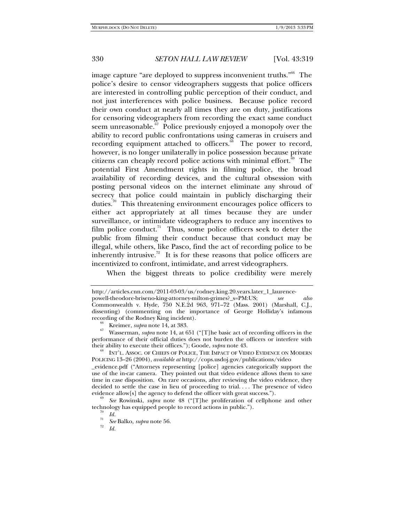image capture "are deployed to suppress inconvenient truths."<sup>66</sup> The police's desire to censor videographers suggests that police officers are interested in controlling public perception of their conduct, and not just interferences with police business. Because police record their own conduct at nearly all times they are on duty, justifications for censoring videographers from recording the exact same conduct seem unreasonable.<sup>87</sup> Police previously enjoyed a monopoly over the ability to record public confrontations using cameras in cruisers and recording equipment attached to officers.<sup>68</sup> The power to record, however, is no longer unilaterally in police possession because private citizens can cheaply record police actions with minimal effort.<sup>69</sup> The potential First Amendment rights in filming police, the broad availability of recording devices, and the cultural obsession with posting personal videos on the internet eliminate any shroud of secrecy that police could maintain in publicly discharging their duties.<sup>70</sup> This threatening environment encourages police officers to either act appropriately at all times because they are under surveillance, or intimidate videographers to reduce any incentives to film police conduct.<sup>71</sup> Thus, some police officers seek to deter the public from filming their conduct because that conduct may be illegal, while others, like Pasco, find the act of recording police to be inherently intrusive.<sup>72</sup> It is for these reasons that police officers are incentivized to confront, intimidate, and arrest videographers.

When the biggest threats to police credibility were merely

\_evidence.pdf ("Attorneys representing [police] agencies categorically support the use of the in-car camera. They pointed out that video evidence allows them to save time in case disposition. On rare occasions, after reviewing the video evidence, they decided to settle the case in lieu of proceeding to trial. . . . The presence of video evidence allow[s] the agency to defend the officer with great success.").

 *See* Rowinski, *supra* note 48 ("[T]he proliferation of cellphone and other technology has equipped people to record actions in public.").<br> $\frac{70}{70}$  Id.

http://articles.cnn.com/2011-03-03/us/rodney.king.20.years.later\_1\_laurencepowell-theodore-briseno-king-attorney-milton-grimes?\_s=PM:US; *see also*  Commonwealth v. Hyde, 750 N.E.2d 963, 971–72 (Mass. 2001) (Marshall, C.J., dissenting) (commenting on the importance of George Holliday's infamous recording of the Rodney King incident).

recording of the Rodney King incident). 66 Kreimer, *supra* note 14, at 383. 67 Wasserman, *supra* note 14, at 651 ("[T]he basic act of recording officers in the performance of their official duties does not burden the officers or interfere with their ability to execute their offices."); Goode, *supra* note 43.<br><sup>68</sup> INT'L. ASSOC. OF CHIEFS OF POLICE, THE IMPACT OF VIDEO EVIDENCE ON MODERN

POLICING 13–26 (2004), *available at* http://cops.usdoj.gov/publications/video

*Id.* <sup>71</sup>*See* Balko, *supra* note 56. 72

*Id.*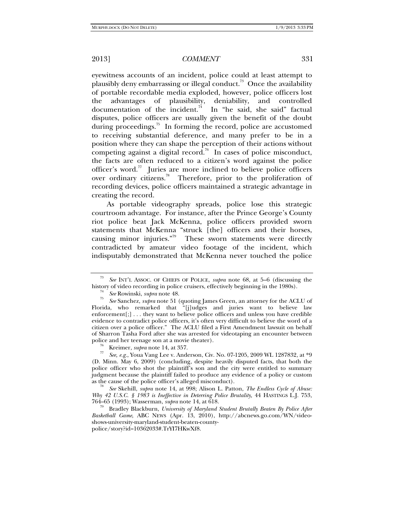eyewitness accounts of an incident, police could at least attempt to plausibly deny embarrassing or illegal conduct.<sup>73</sup> Once the availability of portable recordable media exploded, however, police officers lost the advantages of plausibility, deniability, and controlled documentation of the incident.<sup>74</sup> In "he said, she said" factual disputes, police officers are usually given the benefit of the doubt during proceedings.<sup>75</sup> In forming the record, police are accustomed to receiving substantial deference, and many prefer to be in a position where they can shape the perception of their actions without competing against a digital record.<sup>76</sup> In cases of police misconduct, the facts are often reduced to a citizen's word against the police officer's word.<sup>77</sup> Juries are more inclined to believe police officers over ordinary citizens.<sup>78</sup> Therefore, prior to the proliferation of recording devices, police officers maintained a strategic advantage in creating the record.

As portable videography spreads, police lose this strategic courtroom advantage. For instance, after the Prince George's County riot police beat Jack McKenna, police officers provided sworn statements that McKenna "struck [the] officers and their horses, causing minor injuries."<sup>79</sup> These sworn statements were directly contradicted by amateur video footage of the incident, which indisputably demonstrated that McKenna never touched the police

<sup>73</sup> *See* INT'L ASSOC. OF CHIEFS OF POLICE, *supra* note 68, at 5–6 (discussing the history of video recording in police cruisers, effectively beginning in the 1980s).<sup>74</sup><br><sup>75</sup> *See* Rowinski, *supra* note 48.

*See* Sanchez, *supra* note 51 (quoting James Green, an attorney for the ACLU of Florida, who remarked that "[j]udges and juries want to believe law enforcement[;] . . . they want to believe police officers and unless you have credible evidence to contradict police officers, it's often very difficult to believe the word of a citizen over a police officer." The ACLU filed a First Amendment lawsuit on behalf of Sharron Tasha Ford after she was arrested for videotaping an encounter between police and her teenage son at a movie theater).<br><sup>76</sup> Kreimer, *supra* note 14, at 357.

*See, e.g.*, Youa Vang Lee v. Anderson, Civ. No. 07-1205, 2009 WL 1287832, at \*9 (D. Minn. May 6, 2009) (concluding, despite heavily disputed facts, that both the police officer who shot the plaintiff's son and the city were entitled to summary judgment because the plaintiff failed to produce any evidence of a policy or custom as the cause of the police officer's alleged misconduct).

*See* Skehill, *supra* note 14, at 998; Alison L. Patton, *The Endless Cycle of Abuse: Why 42 U.S.C. § 1983 is Ineffective in Deterring Police Brutality*, 44 HASTINGS L.J. 753, 764–65 (1993); Wasserman, *supra* note 14, at 618.

<sup>&</sup>lt;sup>79</sup> Bradley Blackburn, *University of Maryland Student Brutally Beaten By Police After Basketball Game*, ABC NEWS (Apr. 13, 2010), http://abcnews.go.com/WN/videoshows-university-maryland-student-beaten-countypolice/story?id=10362033#.TrYI7HKwXf8.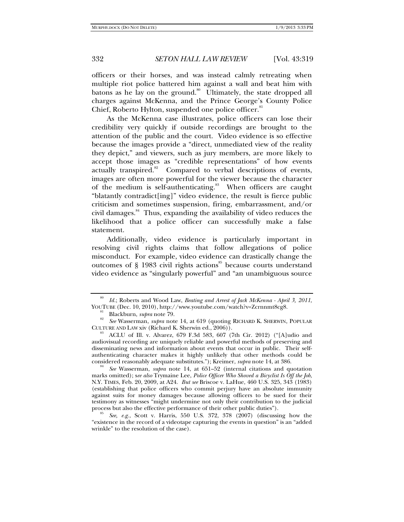officers or their horses, and was instead calmly retreating when multiple riot police battered him against a wall and beat him with batons as he lay on the ground.<sup>80</sup> Ultimately, the state dropped all charges against McKenna, and the Prince George's County Police Chief, Roberto Hylton, suspended one police officer.<sup>81</sup>

As the McKenna case illustrates, police officers can lose their credibility very quickly if outside recordings are brought to the attention of the public and the court. Video evidence is so effective because the images provide a "direct, unmediated view of the reality they depict," and viewers, such as jury members, are more likely to accept those images as "credible representations" of how events actually transpired.<sup>82</sup> Compared to verbal descriptions of events, images are often more powerful for the viewer because the character of the medium is self-authenticating.<sup>83</sup> When officers are caught "blatantly contradict[ing]" video evidence, the result is fierce public criticism and sometimes suspension, firing, embarrassment, and/or civil damages.<sup>84</sup> Thus, expanding the availability of video reduces the likelihood that a police officer can successfully make a false statement.

Additionally, video evidence is particularly important in resolving civil rights claims that follow allegations of police misconduct. For example, video evidence can drastically change the outcomes of  $\S$  1983 civil rights actions<sup>85</sup> because courts understand video evidence as "singularly powerful" and "an unambiguous source

<sup>80</sup> *Id.*; Roberts and Wood Law, *Beating and Arrest of Jack McKenna - April 3, 2011*,

YOUTUBE (Dec. 10, 2010), http://www.youtube.com/watch?v=Zcrnnmt8cg8.<br><sup>81</sup> Blackburn, *supra* note 79.<br><sup>82</sup> *See* Wasserman, *supra* note 14, at 619 (quoting RICHARD K. SHERWIN, POPULAR<br>CULTURE AND LAW xiv (Richard K. Sherw

ACLU of Ill. v. Alvarez, 679 F.3d 583, 607 (7th Cir. 2012) ("[A]udio and audiovisual recording are uniquely reliable and powerful methods of preserving and disseminating news and information about events that occur in public. Their selfauthenticating character makes it highly unlikely that other methods could be considered reasonably adequate substitutes."); Kreimer, *supra* note 14, at 386.

*See* Wasserman, *supra* note 14, at 651–52 (internal citations and quotation marks omitted); s*ee also* Trymaine Lee, *Police Officer Who Shoved a Bicyclist Is Off the Job*, N.Y. TIMES, Feb. 20, 2009, at A24. *But see* Briscoe v. LaHue, 460 U.S. 325, 343 (1983) (establishing that police officers who commit perjury have an absolute immunity against suits for money damages because allowing officers to be sued for their testimony as witnesses "might undermine not only their contribution to the judicial

See, e.g., Scott v. Harris, 550 U.S. 372, 378 (2007) (discussing how the "existence in the record of a videotape capturing the events in question" is an "added wrinkle" to the resolution of the case).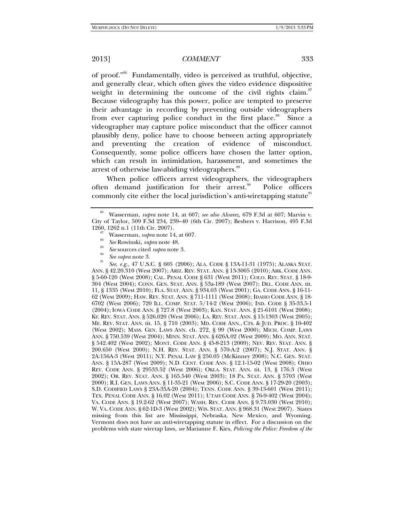of proof."86 Fundamentally, video is perceived as truthful, objective, and generally clear, which often gives the video evidence dispositive weight in determining the outcome of the civil rights claim.<sup>87</sup> Because videography has this power, police are tempted to preserve their advantage in recording by preventing outside videographers from ever capturing police conduct in the first place.<sup>88</sup> Since a videographer may capture police misconduct that the officer cannot plausibly deny, police have to choose between acting appropriately and preventing the creation of evidence of misconduct. Consequently, some police officers have chosen the latter option, which can result in intimidation, harassment, and sometimes the arrest of otherwise law-abiding videographers.<sup>89</sup>

When police officers arrest videographers, the videographers often demand justification for their arrest.<sup>90</sup> Police officers commonly cite either the local jurisdiction's anti-wiretapping statute<sup>91</sup>

<sup>91</sup> *See, e.g.*, 47 U.S.C. § 605 (2006); ALA. CODE § 13A-11-31 (1975); ALASKA STAT. ANN. § 42.20.310 (West 2007); ARIZ. REV. STAT. ANN. § 13-3005 (2010); ARK. CODE ANN. § 5-60-120 (West 2008); CAL. PENAL CODE § 631 (West 2011); COLO. REV. STAT. § 18-9- 304 (West 2004); CONN. GEN. STAT. ANN. § 53a-189 (West 2007); DEL. CODE ANN. tit. 11, § 1335 (West 2010); FLA. STAT. ANN. § 934.03 (West 2001); GA. CODE ANN. § 16-11- 62 (West 2009); HAW. REV. STAT. ANN. § 711-1111 (West 2008); IDAHO CODE ANN. § 18- 6702 (West 2006); 720 ILL. COMP. STAT. 5/14-2 (West 2006); IND. CODE § 35-33.5-1 (2004); IOWA CODE ANN. § 727.8 (West 2003); KAN. STAT. ANN. § 21-6101 (West 2008); KY. REV. STAT. ANN. § 526.020 (West 2006); LA. REV. STAT. ANN. § 15:1303 (West 2005); ME. REV. STAT. ANN. tit. 15, § 710 (2003); MD. CODE ANN., CTS. & JUD. PROC. § 10-402 (West 2002); MASS. GEN. LAWS ANN. ch. 272, § 99 (West 2000); MICH. COMP. LAWS ANN. § 750.539 (West 2004); MINN. STAT. ANN. § 626A.02 (West 2009); MO. ANN. STAT. § 542.402 (West 2002); MONT. CODE ANN. § 45-8-213 (2009); NEV. REV. STAT. ANN. § 200.650 (West 2000); N.H. REV. STAT. ANN. § 570-A:2 (2007); N.J. STAT. ANN. § 2A:156A-3 (West 2011); N.Y. PENAL LAW § 250.05 (McKinney 2008); N.C. GEN. STAT. ANN. § 15A-287 (West 2009); N.D. CENT. CODE ANN. § 12.1-15-02 (West 2008); OHIO REV. CODE ANN. § 29533.52 (West 2006); OKLA. STAT. ANN. tit. 13, § 176.3 (West 2002); OR. REV. STAT. ANN. § 165.540 (West 2003); 18 PA. STAT. ANN. § 5703 (West 2000); R.I. GEN. LAWS ANN. § 11-35-21 (West 2006); S.C. CODE ANN. § 17-29-20 (2003); S.D. CODIFIED LAWS § 23A-35A-20 (2004); TENN. CODE ANN. § 39-13-601 (West 2011); TEX. PENAL CODE ANN. § 16.02 (West 2011); UTAH CODE ANN. § 76-9-402 (West 2004); VA. CODE ANN. § 19.2-62 (West 2007); WASH. REV. CODE ANN. § 9.73.030 (West 2010); W. VA. CODE ANN. § 62-1D-3 (West 2002); WIS. STAT. ANN. § 968.31 (West 2007). States missing from this list are Mississippi, Nebraska, New Mexico, and Wyoming. Vermont does not have an anti-wiretapping statute in effect. For a discussion on the problems with state wiretap laws, *see* Marianne F. Kies, *Policing the Police: Freedom of the* 

<sup>86</sup> Wasserman, *supra* note 14, at 607; *see also Alvarez*, 679 F.3d at 607; Marvin v. City of Taylor, 509 F.3d 234, 239–40 (6th Cir. 2007); Beshers v. Harrison, 495 F.3d

<sup>&</sup>lt;sup>87</sup> Wasserman, *supra* note 14, at 607.<br><sup>88</sup> *See* Rowinski, *supra* note 48.<br><sup>90</sup> *See* supra note 3.<br>*See supra* note 3.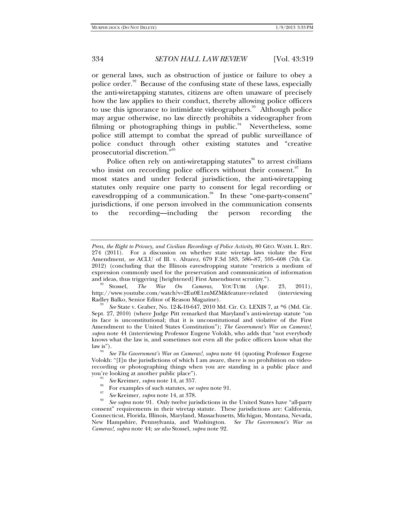or general laws, such as obstruction of justice or failure to obey a police order. $92$  Because of the confusing state of these laws, especially the anti-wiretapping statutes, citizens are often unaware of precisely how the law applies to their conduct, thereby allowing police officers to use this ignorance to intimidate videographers.<sup>93</sup> Although police may argue otherwise, no law directly prohibits a videographer from filming or photographing things in public. $94$  Nevertheless, some police still attempt to combat the spread of public surveillance of police conduct through other existing statutes and "creative prosecutorial discretion."<sup>95</sup>

Police often rely on anti-wiretapping statutes $96$  to arrest civilians who insist on recording police officers without their consent. $97$  In most states and under federal jurisdiction, the anti-wiretapping statutes only require one party to consent for legal recording or eavesdropping of a communication.<sup>98</sup> In these "one-party-consent" jurisdictions, if one person involved in the communication consents to the recording—including the person recording the

- 
- <sup>96</sup> For examples of such statutes, *see supra* note 91.
- *See* Kreimer, *supra* note 14, at 378.

*Press, the Right to Privacy, and Civilian Recordings of Police Activity*, 80 GEO. WASH. L. REV. 274 (2011). For a discussion on whether state wiretap laws violate the First Amendment, *see* ACLU of Ill. v. Alvarez, 679 F.3d 583, 586–87, 595–608 (7th Cir. 2012) (concluding that the Illinois eavesdropping statute "restricts a medium of expression commonly used for the preservation and communication of information

and ideas, thus triggering [heightened] First Amendment scrutiny.").<br><sup>92</sup> Stossel, *The War On Cameras*, YOUTUBE (Apr. 23, 2011), http://www.youtube.com/watch?v=2Eu0E1znMZM&feature=related (interviewing Radley Balko, Senior Editor of Reason Magazine).

*See* State v. Graber, No. 12-K-10-647, 2010 Md. Cir. Ct. LEXIS 7, at \*6 (Md. Cir. Sept. 27, 2010) (where Judge Pitt remarked that Maryland's anti-wiretap statute "on its face is unconstitutional; that it is unconstitutional and violative of the First Amendment to the United States Constitution"); *The Government's War on Cameras!*, *supra* note 44 (interviewing Professor Eugene Volokh, who adds that "not everybody knows what the law is, and sometimes not even all the police officers know what the

law is").<br><sup>94</sup> *See The Government's War on Cameras!, supra* note 44 (quoting Professor Eugene Volokh: "[I]n the jurisdictions of which I am aware, there is no prohibition on videorecording or photographing things when you are standing in a public place and you're looking at another public place").<br>
See Kreimer, *supra* note 14, at 357.

*See supra* note 91. Only twelve jurisdictions in the United States have "all-party consent" requirements in their wiretap statute. These jurisdictions are: California, Connecticut, Florida, Illinois, Maryland, Massachusetts, Michigan, Montana, Nevada, New Hampshire, Pennsylvania, and Washington. *See The Government's War on Cameras!*, *supra* note 44; *see also* Stossel, *supra* note 92.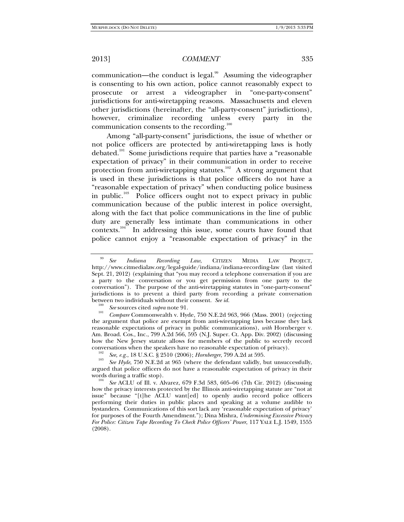communication—the conduct is legal. $99$  Assuming the videographer is consenting to his own action, police cannot reasonably expect to prosecute or arrest a videographer in "one-party-consent" jurisdictions for anti-wiretapping reasons. Massachusetts and eleven other jurisdictions (hereinafter, the "all-party-consent" jurisdictions), however, criminalize recording unless every party in the communication consents to the recording.<sup>100</sup>

Among "all-party-consent" jurisdictions, the issue of whether or not police officers are protected by anti-wiretapping laws is hotly debated.101 Some jurisdictions require that parties have a "reasonable expectation of privacy" in their communication in order to receive protection from anti-wiretapping statutes.<sup>102</sup> A strong argument that is used in these jurisdictions is that police officers do not have a "reasonable expectation of privacy" when conducting police business in public.<sup>103</sup> Police officers ought not to expect privacy in public communication because of the public interest in police oversight, along with the fact that police communications in the line of public duty are generally less intimate than communications in other contexts.104 In addressing this issue, some courts have found that police cannot enjoy a "reasonable expectation of privacy" in the

<sup>99</sup> *See Indiana Recording Law*, CITIZEN MEDIA LAW PROJECT, http://www.citmedialaw.org/legal-guide/indiana/indiana-recording-law (last visited Sept. 21, 2012) (explaining that "you may record a telephone conversation if you are a party to the conversation or you get permission from one party to the conversation"). The purpose of the anti-wiretapping statutes in "one-party-consent" jurisdictions is to prevent a third party from recording a private conversation between two individuals without their consent. *See id.* <sup>100</sup> *See* sources cited *supra* note 91.

*Compare* Commonwealth v. Hyde, 750 N.E.2d 963, 966 (Mass. 2001) (rejecting the argument that police are exempt from anti-wiretapping laws because they lack reasonable expectations of privacy in public communications), *with* Hornberger v. Am. Broad. Cos., Inc., 799 A.2d 566, 595 (N.J. Super. Ct. App. Div. 2002) (discussing how the New Jersey statute allows for members of the public to secretly record conversations when the speakers have no reasonable expectation of privacy). See, e.g., 18 U.S.C. § 2510 (2006); *Hornberger*, 799 A.2d at 595.

<sup>&</sup>lt;sup>103</sup> See *Hyde*, 750 N.E.2d at 965 (where the defendant validly, but unsuccessfully, argued that police officers do not have a reasonable expectation of privacy in their words during a traffic stop).

<sup>&</sup>lt;sup>104</sup> See ACLU of Ill. v. Alvarez, 679 F.3d 583, 605-06 (7th Cir. 2012) (discussing how the privacy interests protected by the Illinois anti-wiretapping statute are "not at issue" because "[t]he ACLU want[ed] to openly audio record police officers performing their duties in public places and speaking at a volume audible to bystanders. Communications of this sort lack any 'reasonable expectation of privacy' for purposes of the Fourth Amendment."); Dina Mishra, *Undermining Excessive Privacy For Police: Citizen Tape Recording To Check Police Officers' Power*, 117 YALE L.J. 1549, 1555 (2008).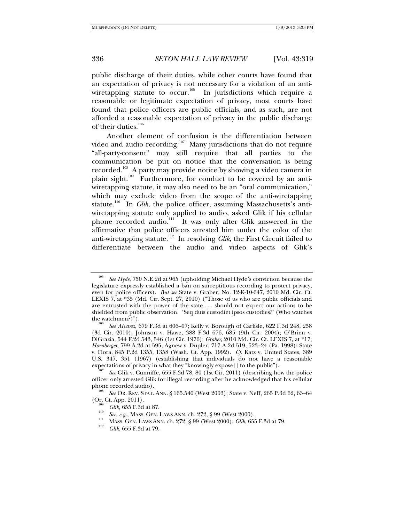public discharge of their duties, while other courts have found that an expectation of privacy is not necessary for a violation of an antiwiretapping statute to occur.<sup>105</sup> In jurisdictions which require a reasonable or legitimate expectation of privacy, most courts have found that police officers are public officials, and as such, are not afforded a reasonable expectation of privacy in the public discharge of their duties.<sup>106</sup>

Another element of confusion is the differentiation between video and audio recording.<sup>107</sup> Many jurisdictions that do not require "all-party-consent" may still require that all parties to the communication be put on notice that the conversation is being recorded.<sup>108</sup> A party may provide notice by showing a video camera in plain sight.<sup>109</sup> Furthermore, for conduct to be covered by an antiwiretapping statute, it may also need to be an "oral communication," which may exclude video from the scope of the anti-wiretapping statute.<sup>110</sup> In *Glik*, the police officer, assuming Massachusetts's antiwiretapping statute only applied to audio, asked Glik if his cellular phone recorded audio.<sup>111</sup> It was only after Glik answered in the affirmative that police officers arrested him under the color of the anti-wiretapping statute.<sup>112</sup> In resolving *Glik*, the First Circuit failed to differentiate between the audio and video aspects of Glik's

<sup>105</sup> *See Hyde*, 750 N.E.2d at 965 (upholding Michael Hyde's conviction because the legislature expressly established a ban on surreptitious recording to protect privacy, even for police officers). *But see* State v. Graber, No. 12-K-10-647, 2010 Md. Cir. Ct. LEXIS 7, at \*35 (Md. Cir. Sept. 27, 2010) ("Those of us who are public officials and are entrusted with the power of the state . . . should not expect our actions to be shielded from public observation. 'Seq duis custodiet ipsos custodies?' (Who watches the watchmen?)").

*See Alvarez*, 679 F.3d at 606–07; Kelly v. Borough of Carlisle, 622 F.3d 248, 258 (3d Cir. 2010); Johnson v. Hawe*,* 388 F.3d 676, 685 (9th Cir. 2004); O'Brien v. DiGrazia, 544 F.2d 543, 546 (1st Cir. 1976); *Graber*, 2010 Md. Cir. Ct. LEXIS 7, at \*17; *Hornberger*, 799 A.2d at 595; Agnew v. Dupler, 717 A.2d 519, 523–24 (Pa. 1998); State v. Flora, 845 P.2d 1355, 1358 (Wash. Ct. App. 1992). *Cf.* Katz v. United States, 389 U.S. 347, 351 (1967) (establishing that individuals do not have a reasonable expectations of privacy in what they "knowingly expose[] to the public").

*See* Glik v. Cunniffe, 655 F.3d 78, 80 (1st Cir. 2011) (describing how the police officer only arrested Glik for illegal recording after he acknowledged that his cellular phone recorded audio).

*See* OR. REV. STAT. ANN. § 165.540 (West 2003); State v. Neff, 265 P.3d 62, 63–64 (Or. Ct. App. 2011).<br>
<sup>109</sup> *Glik*, 655 F.3d at 87.<br>
<sup>110</sup> *See, e.g.*, Mass. GEN. LAWS ANN. ch. 272, § 99 (West 2000).

<sup>&</sup>lt;sup>111</sup> MASS. GEN. LAWS ANN. ch. 272, § 99 (West 2000); *Glik*, 655 F.3d at 79.

*Glik*, 655 F.3d at 79.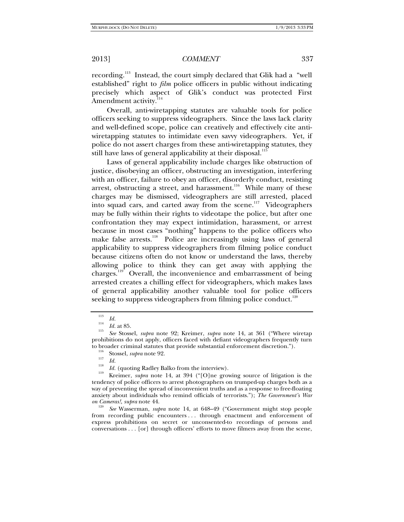recording.<sup>113</sup> Instead, the court simply declared that Glik had a "well established" right to *film* police officers in public without indicating precisely which aspect of Glik's conduct was protected First Amendment activity.<sup>11</sup>

Overall, anti-wiretapping statutes are valuable tools for police officers seeking to suppress videographers. Since the laws lack clarity and well-defined scope, police can creatively and effectively cite antiwiretapping statutes to intimidate even savvy videographers. Yet, if police do not assert charges from these anti-wiretapping statutes, they still have laws of general applicability at their disposal.<sup>115</sup>

Laws of general applicability include charges like obstruction of justice, disobeying an officer, obstructing an investigation, interfering with an officer, failure to obey an officer, disorderly conduct, resisting arrest, obstructing a street, and harassment.<sup>116</sup> While many of these charges may be dismissed, videographers are still arrested, placed into squad cars, and carted away from the scene.<sup>117</sup> Videographers may be fully within their rights to videotape the police, but after one confrontation they may expect intimidation, harassment, or arrest because in most cases "nothing" happens to the police officers who make false arrests.<sup>118</sup> Police are increasingly using laws of general applicability to suppress videographers from filming police conduct because citizens often do not know or understand the laws, thereby allowing police to think they can get away with applying the charges.119 Overall, the inconvenience and embarrassment of being arrested creates a chilling effect for videographers, which makes laws of general applicability another valuable tool for police officers seeking to suppress videographers from filming police conduct.<sup>120</sup>

from recording public encounters . . . through enactment and enforcement of express prohibitions on secret or unconsented-to recordings of persons and conversations . . . [or] through officers' efforts to move filmers away from the scene,

<sup>113</sup>

 $\frac{113}{114}$  *Id.* at 85.

*Id.* at 85. 115 *See* Stossel, *supra* note 92; Kreimer, *supra* note 14, at 361 ("Where wiretap prohibitions do not apply, officers faced with defiant videographers frequently turn to broader criminal statutes that provide substantial enforcement discretion.").<br><sup>116</sup> Stossel, *supra* note 92.<br><sup>117</sup> Id.

<sup>&</sup>lt;sup>118</sup>*Id.* (quoting Radley Balko from the interview).<br><sup>119</sup> Kreimer, *supra* note 14, at 394 ("[O]ne growing source of litigation is the tendency of police officers to arrest photographers on trumped-up charges both as a way of preventing the spread of inconvenient truths and as a response to free-floating anxiety about individuals who remind officials of terrorists."); *The Government's War on Cameras!, supra* note 44.<br><sup>120</sup> *See* Wasserman, *supra* note 14, at 648–49 ("Government might stop people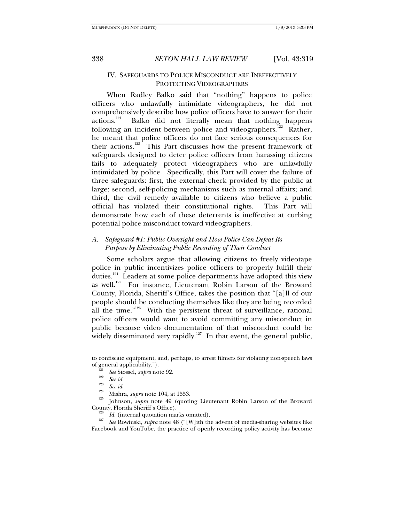# IV. SAFEGUARDS TO POLICE MISCONDUCT ARE INEFFECTIVELY PROTECTING VIDEOGRAPHERS

When Radley Balko said that "nothing" happens to police officers who unlawfully intimidate videographers, he did not comprehensively describe how police officers have to answer for their actions.<sup>121</sup> Balko did not literally mean that nothing happens Balko did not literally mean that nothing happens following an incident between police and videographers.<sup>122</sup> Rather, he meant that police officers do not face serious consequences for their actions.<sup>123</sup> This Part discusses how the present framework of safeguards designed to deter police officers from harassing citizens fails to adequately protect videographers who are unlawfully intimidated by police. Specifically, this Part will cover the failure of three safeguards: first, the external check provided by the public at large; second, self-policing mechanisms such as internal affairs; and third, the civil remedy available to citizens who believe a public official has violated their constitutional rights. This Part will demonstrate how each of these deterrents is ineffective at curbing potential police misconduct toward videographers.

# *A. Safeguard #1: Public Oversight and How Police Can Defeat Its Purpose by Eliminating Public Recording of Their Conduct*

Some scholars argue that allowing citizens to freely videotape police in public incentivizes police officers to properly fulfill their duties.<sup>124</sup> Leaders at some police departments have adopted this view as well.<sup>125</sup> For instance, Lieutenant Robin Larson of the Broward County, Florida, Sheriff's Office, takes the position that "[a]ll of our people should be conducting themselves like they are being recorded all the time."<sup>126</sup> With the persistent threat of surveillance, rational police officers would want to avoid committing any misconduct in public because video documentation of that misconduct could be widely disseminated very rapidly.<sup>127</sup> In that event, the general public,

<sup>124</sup> Mishra, *supra* note 104, at 1553.<br><sup>125</sup> Johnson, *supra* note 49 (quoting Lieutenant Robin Larson of the Broward County, Florida Sheriff's Office).<br><sup>126</sup> *Id.* (internal quotation marks omitted).

 *Id.* (internal quotation marks omitted). 127 *See* Rowinski, *supra* note 48 ("[W]ith the advent of media-sharing websites like Facebook and YouTube, the practice of openly recording policy activity has become

to confiscate equipment, and, perhaps, to arrest filmers for violating non-speech laws of general applicability.").<br>
<sup>121</sup> *See* Stossel, *supra* note 92.<br>
<sup>123</sup> *See id. See id.*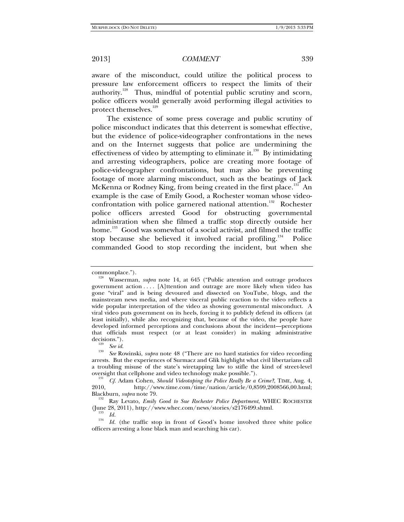aware of the misconduct, could utilize the political process to pressure law enforcement officers to respect the limits of their authority.<sup>128</sup> Thus, mindful of potential public scrutiny and scorn, police officers would generally avoid performing illegal activities to protect themselves.<sup>129</sup>

The existence of some press coverage and public scrutiny of police misconduct indicates that this deterrent is somewhat effective, but the evidence of police-videographer confrontations in the news and on the Internet suggests that police are undermining the effectiveness of video by attempting to eliminate it.<sup>130</sup> By intimidating and arresting videographers, police are creating more footage of police-videographer confrontations, but may also be preventing footage of more alarming misconduct, such as the beatings of Jack McKenna or Rodney King, from being created in the first place.<sup>131</sup> An example is the case of Emily Good, a Rochester woman whose videoconfrontation with police garnered national attention.<sup>132</sup> Rochester police officers arrested Good for obstructing governmental administration when she filmed a traffic stop directly outside her home.<sup>133</sup> Good was somewhat of a social activist, and filmed the traffic stop because she believed it involved racial profiling.<sup>134</sup> Police commanded Good to stop recording the incident, but when she

commonplace."). 128 Wasserman, *supra* note 14, at 645 ("Public attention and outrage produces government action . . . . [A]ttention and outrage are more likely when video has gone "viral" and is being devoured and dissected on YouTube, blogs, and the mainstream news media, and where visceral public reaction to the video reflects a wide popular interpretation of the video as showing governmental misconduct. A viral video puts government on its heels, forcing it to publicly defend its officers (at least initially), while also recognizing that, because of the video, the people have developed informed perceptions and conclusions about the incident—perceptions that officials must respect (or at least consider) in making administrative decisions.").<br>
See id.

<sup>&</sup>lt;sup>130</sup> *See* Rowinski, *supra* note 48 ("There are no hard statistics for video recording arrests. But the experiences of Surmacz and Glik highlight what civil libertarians call a troubling misuse of the state's wiretapping law to stifle the kind of street-level oversight that cellphone and video technology make possible.").

<sup>&</sup>lt;sup>131</sup> *Cf.* Adam Cohen, *Should Videotaping the Police Really Be a Crime*?, TIME, Aug. 4, 2010<br>2010 http://www.time.com/time/nation/article/0.8599.2008566.00.html http://www.time.com/time/nation/article/0,8599,2008566,00.html; Blackburn, *supra* note 79. 132 Ray Levato, *Emily Good to Sue Rochester Police Department*, WHEC ROCHESTER

<sup>(</sup>June 28, 2011), http://www.whec.com/news/stories/s2176499.shtml.<br> $Id.$ 

<sup>&</sup>lt;sup>134</sup> *Id.* (the traffic stop in front of Good's home involved three white police officers arresting a lone black man and searching his car).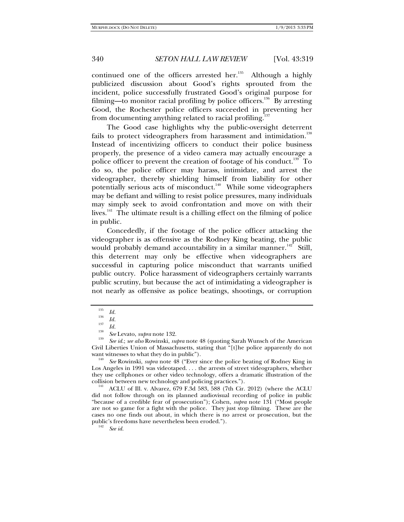continued one of the officers arrested her.<sup>135</sup> Although a highly publicized discussion about Good's rights sprouted from the incident, police successfully frustrated Good's original purpose for filming—to monitor racial profiling by police officers.<sup>136</sup> By arresting Good, the Rochester police officers succeeded in preventing her from documenting anything related to racial profiling.<sup>1</sup>

The Good case highlights why the public-oversight deterrent fails to protect videographers from harassment and intimidation.<sup>138</sup> Instead of incentivizing officers to conduct their police business properly, the presence of a video camera may actually encourage a police officer to prevent the creation of footage of his conduct.<sup>139</sup> To do so, the police officer may harass, intimidate, and arrest the videographer, thereby shielding himself from liability for other potentially serious acts of misconduct.<sup>140</sup> While some videographers may be defiant and willing to resist police pressures, many individuals may simply seek to avoid confrontation and move on with their lives.<sup>141</sup> The ultimate result is a chilling effect on the filming of police in public.

Concededly, if the footage of the police officer attacking the videographer is as offensive as the Rodney King beating, the public would probably demand accountability in a similar manner.<sup>142</sup> Still, this deterrent may only be effective when videographers are successful in capturing police misconduct that warrants unified public outcry. Police harassment of videographers certainly warrants public scrutiny, but because the act of intimidating a videographer is not nearly as offensive as police beatings, shootings, or corruption

<sup>139</sup> *See id.*; *see also* Rowinski, *supra* note 48 (quoting Sarah Wunsch of the American Civil Liberties Union of Massachusetts, stating that "[t]he police apparently do not want witnesses to what they do in public").<br><sup>140</sup> *See* Rowinski, *supra* note 48 ("Ever since the police beating of Rodney King in

Los Angeles in 1991 was videotaped. . . . the arrests of street videographers, whether they use cellphones or other video technology, offers a dramatic illustration of the collision between new technology and policing practices.").

ACLU of Ill. v. Alvarez, 679 F.3d 583, 588 (7th Cir. 2012) (where the ACLU did not follow through on its planned audiovisual recording of police in public "because of a credible fear of prosecution"); Cohen, *supra* note 131 ("Most people are not so game for a fight with the police. They just stop filming. These are the cases no one finds out about, in which there is no arrest or prosecution, but the public's freedoms have nevertheless been eroded.").

*See id.*

<sup>135</sup>

<sup>&</sup>lt;sup>135</sup> *Id.*<br><sup>136</sup> *Id.*<br><sup>137</sup> *II* 

<sup>&</sup>lt;sup>137</sup> *Id.* See Levato, *supra* note 132.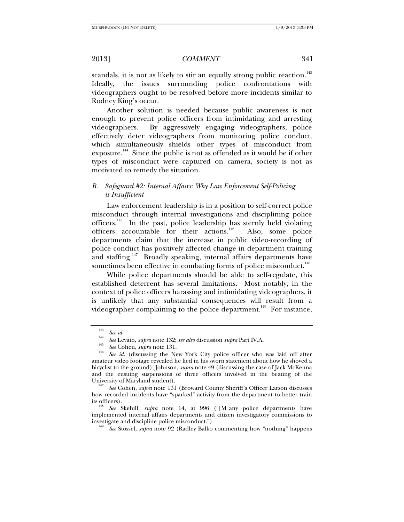scandals, it is not as likely to stir an equally strong public reaction.<sup>143</sup> Ideally, the issues surrounding police confrontations with videographers ought to be resolved before more incidents similar to Rodney King's occur.

Another solution is needed because public awareness is not enough to prevent police officers from intimidating and arresting videographers. By aggressively engaging videographers, police effectively deter videographers from monitoring police conduct, which simultaneously shields other types of misconduct from exposure.<sup>144</sup> Since the public is not as offended as it would be if other types of misconduct were captured on camera, society is not as motivated to remedy the situation.

# *B. Safeguard #2: Internal Affairs: Why Law Enforcement Self-Policing is Insufficient*

Law enforcement leadership is in a position to self-correct police misconduct through internal investigations and disciplining police officers.<sup>145</sup> In the past, police leadership has sternly held violating officers accountable for their actions.<sup>146</sup> Also, some police departments claim that the increase in public video-recording of police conduct has positively affected change in department training and staffing.<sup>147</sup> Broadly speaking, internal affairs departments have sometimes been effective in combating forms of police misconduct.<sup>148</sup>

While police departments should be able to self-regulate, this established deterrent has several limitations. Most notably, in the context of police officers harassing and intimidating videographers, it is unlikely that any substantial consequences will result from a videographer complaining to the police department.<sup>149</sup> For instance,

<sup>143</sup>

<sup>&</sup>lt;sup>143</sup> *See id.*<br><sup>144</sup> *See* Levato, *supra* note 132; *see also* discussion *supra* Part IV.A.

<sup>&</sup>lt;sup>145</sup> *See* Cohen, *supra* note 131.<br><sup>146</sup> *See id.* (discussing the New York City police officer who was laid off after amateur video footage revealed he lied in his sworn statement about how he shoved a bicyclist to the ground); Johnson, *supra* note 49 (discussing the case of Jack McKenna and the ensuing suspensions of three officers involved in the beating of the

See Cohen, *supra* note 131 (Broward County Sheriff's Officer Larson discusses how recorded incidents have "sparked" activity from the department to better train its officers).

*See* Skehill, *supra* note 14, at 996 ("[M]any police departments have implemented internal affairs departments and citizen investigatory commissions to investigate and discipline police misconduct.").

*See* Stossel, *supra* note 92 (Radley Balko commenting how "nothing" happens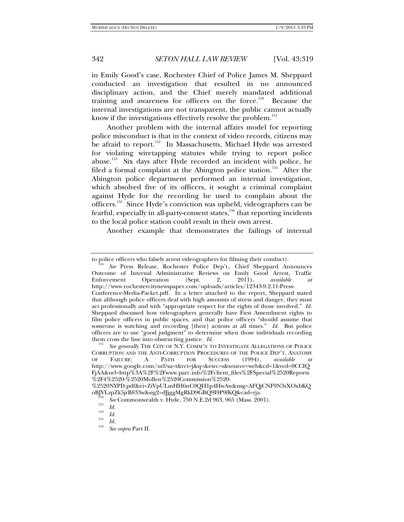in Emily Good's case, Rochester Chief of Police James M. Sheppard conducted an investigation that resulted in no announced disciplinary action, and the Chief merely mandated additional training and awareness for officers on the force.<sup>150</sup> Because the internal investigations are not transparent, the public cannot actually know if the investigations effectively resolve the problem.<sup>151</sup>

Another problem with the internal affairs model for reporting police misconduct is that in the context of video records, citizens may be afraid to report.<sup>152</sup> In Massachusetts, Michael Hyde was arrested for violating wiretapping statutes while trying to report police abuse.153 Six days after Hyde recorded an incident with police, he filed a formal complaint at the Abington police station.<sup>154</sup> After the Abington police department performed an internal investigation, which absolved five of its officers, it sought a criminal complaint against Hyde for the recording he used to complain about the officers.155 Since Hyde's conviction was upheld, videographers can be fearful, especially in all-party-consent states, $156$  that reporting incidents to the local police station could result in their own arrest.

Another example that demonstrates the failings of internal

to police officers who falsely arrest videographers for filming their conduct).

*See* Press Release, Rochester Police Dep't., Chief Sheppard Announces Outcome of Internal Administrative Reviews on Emily Good Arrest, Traffic<br>Enforcement Operation (Sept. 2, 2011), available at Enforcement Operation (Sept. 2, 2011), *available at* http://www.rochestercitynewspaper.com/uploads/articles/12343-9.2.11-Press-Conference-Media-Packet.pdf. In a letter attached to the report, Sheppard stated that although police officers deal with high amounts of stress and danger, they must act professionally and with "appropriate respect for the rights of those involved." *Id.* Sheppard discussed how videographers generally have First Amendment rights to film police officers in public spaces, and that police officers "should assume that someone is watching and recording [their] actions at all times." *Id.* But police officers are to use "good judgment" to determine when those individuals recording them cross the line into obstructing justice. *Id.* 

*See generally* THE CITY OF N.Y. COMM'N TO INVESTIGATE ALLEGATIONS OF POLICE CORRUPTION AND THE ANTI-CORRUPTION PROCEDURES OF THE POLICE DEP'T, ANATOMY OF FAILURE: A PATH FOR SUCCESS (1994), *available at* OF FAILURE: A PATH FOR SUCCESS (1994), *available at* http://www.google.com/url?sa=t&rct=j&q=&esrc=s&source=web&cd=1&ved=0CCIQ FjAA&url=http%3A%2F%2Fwww.parc.info%2Fclient\_files%2FSpecial%2520Reports %2F4%2520-%2520Mollen%2520Commission%2520-

<sup>%2520</sup>NYPD.pdf&ei=ZiVpULmHH6nC0QH1p4HwAw&usg=AFQjCNF9N3sXOxbKQ oBJVLzpZk5jrB833w&sig2=dJjggMgRkD9GBQ9I9P9fKQ&cad=rja.<br><sup>152</sup> *See* Commonwealth v. Hyde, 750 N.E.2d 963, 965 (Mass. 2001).<br><sup>153</sup> *Id.*<br>*154 Id.* 

 $\frac{155}{156}$  *Id.* 

*See supra* Part II.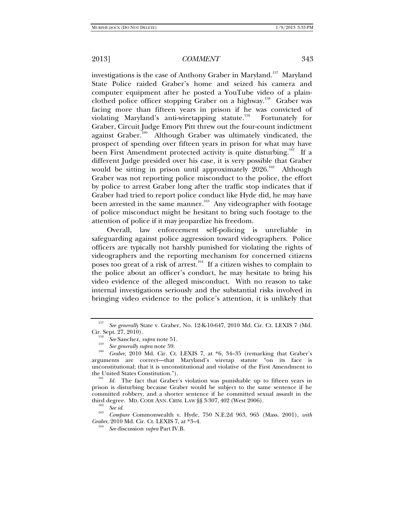investigations is the case of Anthony Graber in Maryland.<sup>157</sup> Maryland State Police raided Graber's home and seized his camera and computer equipment after he posted a YouTube video of a plainclothed police officer stopping Graber on a highway.<sup>158</sup> Graber was facing more than fifteen years in prison if he was convicted of violating Maryland's anti-wiretapping statute.<sup>159</sup> Fortunately for Graber, Circuit Judge Emory Pitt threw out the four-count indictment against Graber.<sup>160</sup> Although Graber was ultimately vindicated, the prospect of spending over fifteen years in prison for what may have been First Amendment protected activity is quite disturbing.<sup>161</sup> If a different Judge presided over his case, it is very possible that Graber would be sitting in prison until approximately  $2026$ .<sup>162</sup> Although Graber was not reporting police misconduct to the police, the effort by police to arrest Graber long after the traffic stop indicates that if Graber had tried to report police conduct like Hyde did, he may have been arrested in the same manner.<sup>163</sup> Any videographer with footage of police misconduct might be hesitant to bring such footage to the attention of police if it may jeopardize his freedom.

Overall, law enforcement self-policing is unreliable in safeguarding against police aggression toward videographers. Police officers are typically not harshly punished for violating the rights of videographers and the reporting mechanism for concerned citizens poses too great of a risk of arrest.<sup>164</sup> If a citizen wishes to complain to the police about an officer's conduct, he may hesitate to bring his video evidence of the alleged misconduct. With no reason to take internal investigations seriously and the substantial risks involved in bringing video evidence to the police's attention, it is unlikely that

 *Compare* Commonwealth v. Hyde, 750 N.E.2d 963, 965 (Mass. 2001), *with Graber*, 2010 Md. Cir. Ct. LEXIS 7, at \*3-4.

*See* discussion *supra* Part IV.B.

<sup>157</sup> *See generally* State v. Graber, No. 12-K-10-647, 2010 Md. Cir. Ct. LEXIS 7 (Md. Cir. Sept. 27, 2010). 158 *See* Sanchez, *supra* note 51. 159

<sup>&</sup>lt;sup>160</sup> Graber, 2010 Md. Cir. Ct. LEXIS 7, at \*6, 34–35 (remarking that Graber's arguments are correct—that Maryland's wiretap statute "on its face is unconstitutional; that it is unconstitutional and violative of the First Amendment to the United States Constitution.").

*Id.* The fact that Graber's violation was punishable up to fifteen years in prison is disturbing because Graber would be subject to the same sentence if he committed robbery, and a shorter sentence if he committed sexual assault in the third degree. MD. CODE ANN. CRIM. LAW §§ 3-307, 402 (West 2006).<br><sup>162</sup> *See id.* 163 *Sec.* 163 **July 163 July 163 ME 21.063** 065 *C*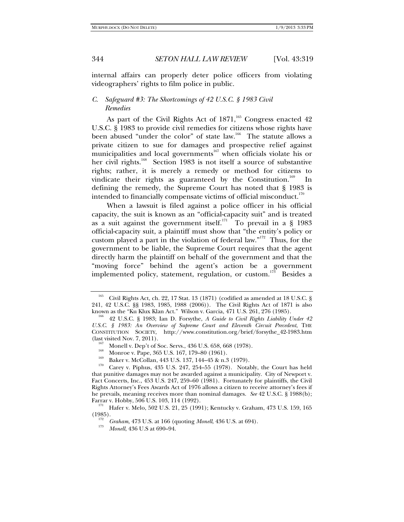internal affairs can properly deter police officers from violating videographers' rights to film police in public.

# *C. Safeguard #3: The Shortcomings of 42 U.S.C. § 1983 Civil Remedies*

As part of the Civil Rights Act of  $1871$ ,<sup>165</sup> Congress enacted 42 U.S.C. § 1983 to provide civil remedies for citizens whose rights have been abused "under the color" of state law.<sup>166</sup> The statute allows a private citizen to sue for damages and prospective relief against municipalities and local governments<sup>167</sup> when officials violate his or her civil rights.<sup>168</sup> Section 1983 is not itself a source of substantive rights; rather, it is merely a remedy or method for citizens to vindicate their rights as guaranteed by the Constitution.<sup>169</sup> In defining the remedy, the Supreme Court has noted that § 1983 is intended to financially compensate victims of official misconduct.<sup>170</sup>

When a lawsuit is filed against a police officer in his official capacity, the suit is known as an "official-capacity suit" and is treated as a suit against the government itself.<sup>171</sup> To prevail in a § 1983 official-capacity suit, a plaintiff must show that "the entity's policy or custom played a part in the violation of federal law."172 Thus, for the government to be liable, the Supreme Court requires that the agent directly harm the plaintiff on behalf of the government and that the "moving force" behind the agent's action be a government implemented policy, statement, regulation, or custom.<sup>173</sup> Besides a

<sup>&</sup>lt;sup>165</sup> Civil Rights Act, ch. 22, 17 Stat. 13 (1871) (codified as amended at 18 U.S.C. § 241, 42 U.S.C. §§ 1983, 1985, 1988 (2006)). The Civil Rights Act of 1871 is also

<sup>&</sup>lt;sup>166</sup> 42 U.S.C. § 1983; Ian D. Forsythe, *A Guide to Civil Rights Liability Under 42 U.S.C. § 1983: An Overview of Supreme Court and Eleventh Circuit Precedent*, THE CONSTITUTION SOCIETY, http://www.constitution.org/brief/forsythe\_42-1983.htm (last visited Nov. 7, 2011).<br>
<sup>167</sup> Monell v. Dep't of Soc. Servs., 436 U.S. 658, 668 (1978).<br>
<sup>168</sup> Monroe v. Pape, 365 U.S. 167, 179–80 (1961).<br>
Baker v. McCollan, 443 U.S. 137, 144–45 & n.3 (1979).<br>
<sup>170</sup> Carey v. Piphu

that punitive damages may not be awarded against a municipality. City of Newport v. Fact Concerts, Inc., 453 U.S. 247, 259–60 (1981). Fortunately for plaintiffs, the Civil Rights Attorney's Fees Awards Act of 1976 allows a citizen to receive attorney's fees if he prevails, meaning receives more than nominal damages. *See* 42 U.S.C. § 1988(b);

Farrar v. Hobby, 506 U.S. 103, 114 (1991); Kentucky v. Graham, 473 U.S. 159, 165 (1985).

<sup>&</sup>lt;sup>172</sup> *Graham*, 473 U.S. at 166 (quoting *Monell*, 436 U.S. at 694).

*Monell*, 436 U.S at 690–94.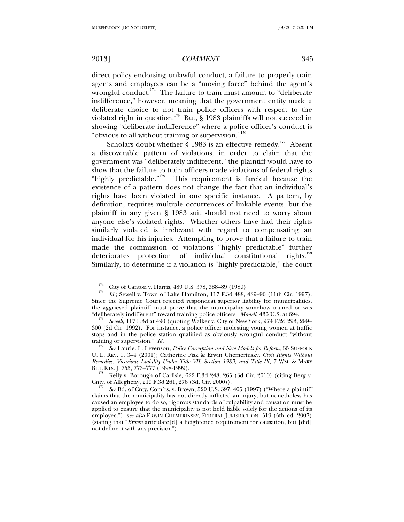direct policy endorsing unlawful conduct, a failure to properly train agents and employees can be a "moving force" behind the agent's wrongful conduct.<sup>174</sup> The failure to train must amount to "deliberate" indifference," however, meaning that the government entity made a deliberate choice to not train police officers with respect to the violated right in question.<sup>175</sup> But, § 1983 plaintiffs will not succeed in showing "deliberate indifference" where a police officer's conduct is "obvious to all without training or supervision."<sup>176</sup>

Scholars doubt whether  $\S$  1983 is an effective remedy.<sup>177</sup> Absent a discoverable pattern of violations, in order to claim that the government was "deliberately indifferent," the plaintiff would have to show that the failure to train officers made violations of federal rights "highly predictable."<sup>178</sup> This requirement is farcical because the This requirement is farcical because the existence of a pattern does not change the fact that an individual's rights have been violated in one specific instance. A pattern, by definition, requires multiple occurrences of linkable events, but the plaintiff in any given § 1983 suit should not need to worry about anyone else's violated rights. Whether others have had their rights similarly violated is irrelevant with regard to compensating an individual for his injuries. Attempting to prove that a failure to train made the commission of violations "highly predictable" further deteriorates protection of individual constitutional rights.<sup>179</sup> Similarly, to determine if a violation is "highly predictable," the court

<sup>&</sup>lt;sup>174</sup> City of Canton v. Harris, 489 U.S. 378, 388–89 (1989).

*Id.*; Sewell v. Town of Lake Hamilton, 117 F.3d 488, 489–90 (11th Cir. 1997). Since the Supreme Court rejected respondeat superior liability for municipalities, the aggrieved plaintiff must prove that the municipality somehow trained or was "deliberately indifferent" toward training police officers. *Monell*, 436 U.S. at 694. 176 *Sewell*, 117 F.3d at 490 (quoting Walker v. City of New York, 974 F.2d 293, 299–

<sup>300 (2</sup>d Cir. 1992). For instance, a police officer molesting young women at traffic stops and in the police station qualified as obviously wrongful conduct "without training or supervision." *Id.* 

*See* Laurie. L. Levenson, *Police Corruption and New Models for Reform,* 35 SUFFOLK U. L. REV. 1, 3–4 (2001); Catherine Fisk & Erwin Chemerinsky, *Civil Rights Without Remedies: Vicarious Liability Under Title VII, Section 1983, and Title IX*, 7 WM. & MARY

 $B^{178}$  Kelly v. Borough of Carlisle, 622 F.3d 248, 265 (3d Cir. 2010) (citing Berg v. Cnty. of Allegheny, 219 F.3d 261, 276 (3d. Cir. 2000)).

*See* Bd. of Cnty. Com'rs. v. Brown, 520 U.S. 397, 405 (1997) ("Where a plaintiff claims that the municipality has not directly inflicted an injury, but nonetheless has caused an employee to do so, rigorous standards of culpability and causation must be applied to ensure that the municipality is not held liable solely for the actions of its employee."); s*ee also* ERWIN CHEMERINSKY, FEDERAL JURISDICTION 519 (5th ed. 2007) (stating that "*Brown* articulate[d] a heightened requirement for causation, but [did] not define it with any precision").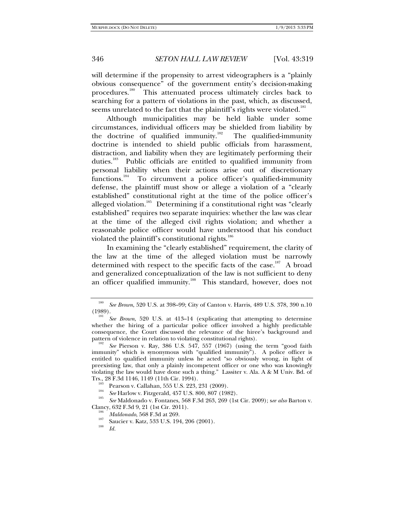will determine if the propensity to arrest videographers is a "plainly obvious consequence" of the government entity's decision-making procedures.<sup>180</sup> This attenuated process ultimately circles back to searching for a pattern of violations in the past, which, as discussed, seems unrelated to the fact that the plaintiff's rights were violated.<sup>181</sup>

Although municipalities may be held liable under some circumstances, individual officers may be shielded from liability by the doctrine of qualified immunity.<sup>182</sup> The qualified-immunity doctrine is intended to shield public officials from harassment, distraction, and liability when they are legitimately performing their duties.<sup>183</sup> Public officials are entitled to qualified immunity from personal liability when their actions arise out of discretionary functions.<sup>184</sup> To circumvent a police officer's qualified-immunity defense, the plaintiff must show or allege a violation of a "clearly established" constitutional right at the time of the police officer's alleged violation.<sup>185</sup> Determining if a constitutional right was "clearly established" requires two separate inquiries: whether the law was clear at the time of the alleged civil rights violation; and whether a reasonable police officer would have understood that his conduct violated the plaintiff's constitutional rights.<sup>186</sup>

In examining the "clearly established" requirement, the clarity of the law at the time of the alleged violation must be narrowly determined with respect to the specific facts of the case.<sup>187</sup> A broad and generalized conceptualization of the law is not sufficient to deny an officer qualified immunity.<sup>188</sup> This standard, however, does not

<sup>184</sup> *See* Harlow v. Fitzgerald, 457 U.S. 800, 807 (1982).

<sup>180</sup> *See Brown*, 520 U.S. at 398–99; City of Canton v. Harris, 489 U.S. 378, 390 n.10  $(1989).$ 

*See Brown*, 520 U.S. at 413–14 (explicating that attempting to determine whether the hiring of a particular police officer involved a highly predictable consequence, the Court discussed the relevance of the hiree's background and pattern of violence in relation to violating constitutional rights).

*See* Pierson v. Ray, 386 U.S. 547, 557 (1967) (using the term "good faith immunity" which is synonymous with "qualified immunity"). A police officer is entitled to qualified immunity unless he acted "so obviously wrong, in light of preexisting law, that only a plainly incompetent officer or one who was knowingly violating the law would have done such a thing." Lassiter v. Ala. A & M Univ. Bd. of

Trs., 28 F.3d 1146, 1149 (11th Cir. 1994).<br><sup>183</sup> Pearson v. Callahan, 555 U.S. 223, 231 (2009).

*See* Maldonado v. Fontanes, 568 F.3d 263, 269 (1st Cir. 2009); s*ee also* Barton v. Clancy, 632 F.3d 9, 21 (1st Cir. 2011).<br><sup>186</sup> *Maldonado*, 568 F.3d at 269.

<sup>&</sup>lt;sup>187</sup> Saucier v. Katz, 533 U.S. 194, 206 (2001).

*Id.*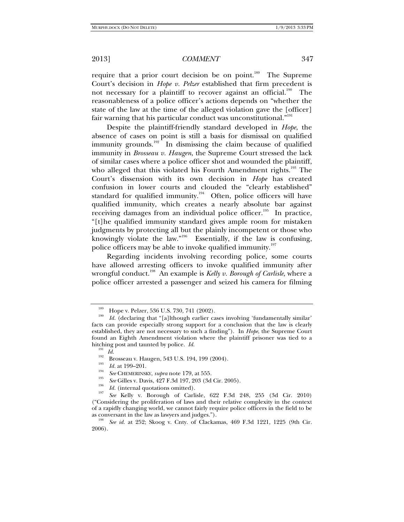require that a prior court decision be on point.<sup>189</sup> The Supreme Court's decision in *Hope v. Pelzer* established that firm precedent is not necessary for a plaintiff to recover against an official.<sup>190</sup> The reasonableness of a police officer's actions depends on "whether the state of the law at the time of the alleged violation gave the [officer] fair warning that his particular conduct was unconstitutional."<sup>191</sup>

Despite the plaintiff-friendly standard developed in *Hope*, the absence of cases on point is still a basis for dismissal on qualified immunity grounds. $192^{\circ}$  In dismissing the claim because of qualified immunity in *Brosseau v. Haugen*, the Supreme Court stressed the lack of similar cases where a police officer shot and wounded the plaintiff, who alleged that this violated his Fourth Amendment rights.<sup>193</sup> The Court's dissension with its own decision in *Hope* has created confusion in lower courts and clouded the "clearly established" standard for qualified immunity.<sup>194</sup> Often, police officers will have qualified immunity, which creates a nearly absolute bar against receiving damages from an individual police officer.<sup>195</sup> In practice, "[t]he qualified immunity standard gives ample room for mistaken judgments by protecting all but the plainly incompetent or those who knowingly violate the law."<sup>196</sup> Essentially, if the law is confusing, police officers may be able to invoke qualified immunity.<sup>197</sup>

Regarding incidents involving recording police, some courts have allowed arresting officers to invoke qualified immunity after wrongful conduct.<sup>198</sup> An example is *Kelly v. Borough of Carlisle*, where a police officer arrested a passenger and seized his camera for filming

 $\frac{189}{190}$  Hope v. Pelzer, 536 U.S. 730, 741 (2002).

*Id.* (declaring that "[a]lthough earlier cases involving 'fundamentally similar' facts can provide especially strong support for a conclusion that the law is clearly established, they are not necessary to such a finding"). In *Hope*, the Supreme Court found an Eighth Amendment violation where the plaintiff prisoner was tied to a hitching post and taunted by police. *Id.*<br><sup>191</sup> *Id.* 192 Brosseau v. Haugen, 543 U.S. 194, 199 (2004).<br><sup>193</sup> *Id.* at 199–201.

<sup>&</sup>lt;sup>194</sup> See CHEMERINSKY, *supra* note 179, at 555.

<sup>&</sup>lt;sup>195</sup> *See* Gilles v. Davis, 427 F.3d 197, 203 (3d Cir. 2005).<br><sup>196</sup> *Id.* (internal quotations omitted).<br><sup>197</sup> See *V*elly, y. Bagaygh, of Carliela, 699, E.3d. 5

*See* Kelly v. Borough of Carlisle, 622 F.3d 248, 255 (3d Cir. 2010) ("Considering the proliferation of laws and their relative complexity in the context of a rapidly changing world, we cannot fairly require police officers in the field to be as conversant in the law as lawyers and judges."). 198 *See id.* at 252; Skoog v. Cnty. of Clackamas, 469 F.3d 1221, 1225 (9th Cir.

<sup>2006).</sup>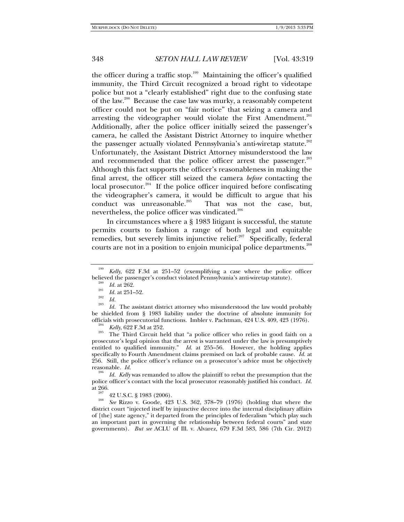the officer during a traffic stop.<sup>199</sup> Maintaining the officer's qualified immunity, the Third Circuit recognized a broad right to videotape police but not a "clearly established" right due to the confusing state of the law.200 Because the case law was murky, a reasonably competent officer could not be put on "fair notice" that seizing a camera and arresting the videographer would violate the First Amendment.<sup>201</sup> Additionally, after the police officer initially seized the passenger's camera, he called the Assistant District Attorney to inquire whether the passenger actually violated Pennsylvania's anti-wiretap statute.<sup>202</sup> Unfortunately, the Assistant District Attorney misunderstood the law and recommended that the police officer arrest the passenger.<sup>203</sup> Although this fact supports the officer's reasonableness in making the final arrest, the officer still seized the camera *before* contacting the local prosecutor.<sup>204</sup> If the police officer inquired before confiscating the videographer's camera, it would be difficult to argue that his conduct was unreasonable.<sup>205</sup> That was not the case, but, nevertheless, the police officer was vindicated.<sup>206</sup>

In circumstances where a § 1983 litigant is successful, the statute permits courts to fashion a range of both legal and equitable remedies, but severely limits injunctive relief.<sup>207</sup> Specifically, federal courts are not in a position to enjoin municipal police departments.<sup>208</sup>

<sup>204</sup> *Kelly,* 622 F.3d at 252.<br><sup>205</sup> The Third Circuit held that "a police officer who relies in good faith on a prosecutor's legal opinion that the arrest is warranted under the law is presumptively entitled to qualified immunity." *Id.* at 255–56. However, the holding applies specifically to Fourth Amendment claims premised on lack of probable cause. *Id.* at 256. Still, the police officer's reliance on a prosecutor's advice must be objectively reasonable. *Id.* 

 *Id. Kelly* was remanded to allow the plaintiff to rebut the presumption that the police officer's contact with the local prosecutor reasonably justified his conduct. *Id.*

 $rac{207}{208}$  42 U.S.C. § 1983 (2006).

 *See* Rizzo v. Goode, 423 U.S. 362, 378–79 (1976) (holding that where the district court "injected itself by injunctive decree into the internal disciplinary affairs of [the] state agency," it departed from the principles of federalism "which play such an important part in governing the relationship between federal courts" and state governments). *But see* ACLU of Ill. v. Alvarez, 679 F.3d 583, 586 (7th Cir. 2012)

<sup>199</sup> *Kelly*, 622 F.3d at 251–52 (exemplifying a case where the police officer believed the passenger's conduct violated Pennsylvania's anti-wiretap statute).

 $\frac{^{200}}{^{201}}$  *Id.* at 262.

<sup>&</sup>lt;sup>201</sup> *Id.* at 251–52.<br><sup>202</sup> *Id.* <sup>203</sup> *II* **T** 

*Id.* The assistant district attorney who misunderstood the law would probably be shielded from § 1983 liability under the doctrine of absolute immunity for officials with prosecutorial functions. Imbler v. Pachtman, 424 U.S. 409, 423 (1976).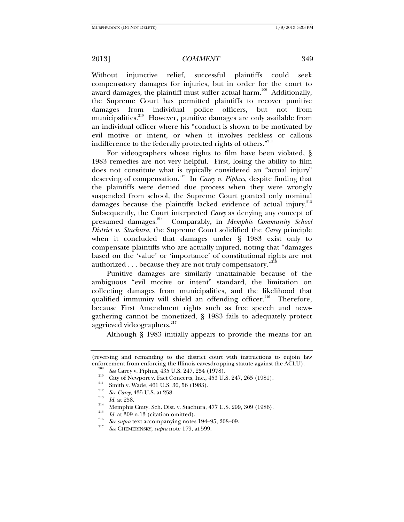Without injunctive relief, successful plaintiffs could seek compensatory damages for injuries, but in order for the court to award damages, the plaintiff must suffer actual harm.<sup>209</sup> Additionally, the Supreme Court has permitted plaintiffs to recover punitive damages from individual police officers, but not from municipalities.<sup>210</sup> However, punitive damages are only available from an individual officer where his "conduct is shown to be motivated by evil motive or intent, or when it involves reckless or callous indifference to the federally protected rights of others."<sup>211</sup>

For videographers whose rights to film have been violated, § 1983 remedies are not very helpful. First, losing the ability to film does not constitute what is typically considered an "actual injury" deserving of compensation.212 In *Carey v. Piphus*, despite finding that the plaintiffs were denied due process when they were wrongly suspended from school, the Supreme Court granted only nominal damages because the plaintiffs lacked evidence of actual injury.<sup>213</sup> Subsequently, the Court interpreted *Carey* as denying any concept of presumed damages.214 Comparably, in *Memphis Community School District v. Stachura*, the Supreme Court solidified the *Carey* principle when it concluded that damages under § 1983 exist only to compensate plaintiffs who are actually injured, noting that "damages based on the 'value' or 'importance' of constitutional rights are not authorized  $\ldots$  because they are not truly compensatory."<sup>215</sup>

Punitive damages are similarly unattainable because of the ambiguous "evil motive or intent" standard, the limitation on collecting damages from municipalities, and the likelihood that qualified immunity will shield an offending officer.<sup>216</sup> Therefore, because First Amendment rights such as free speech and newsgathering cannot be monetized, § 1983 fails to adequately protect aggrieved videographers.<sup>217</sup>

Although § 1983 initially appears to provide the means for an

<sup>(</sup>reversing and remanding to the district court with instructions to enjoin law enforcement from enforcing the Illinois eavesdropping statute against the ACLU).<br><sup>209</sup> See Carey v. Piphus, 435 U.S. 247, 254 (1978).

<sup>&</sup>lt;sup>210</sup> City of Newport v. Fact Concerts, Inc., 453 U.S. 247, 265 (1981).<br><sup>211</sup> Smith v. Wade, 461 U.S. 30, 56 (1983).<br><sup>212</sup> See Carey, 435 U.S. at 258.

<sup>&</sup>lt;sup>213</sup> *Id.* at 258. <br><sup>214</sup> Memphis Cmty. Sch. Dist. v. Stachura, 477 U.S. 299, 309 (1986).<br><sup>215</sup> *Id.* at 309 n.13 (citation omitted).

<sup>&</sup>lt;sup>216</sup> *See supra* text accompanying notes  $194-95$ , 208–09.

*See* CHEMERINSKY, *supra* note 179, at 599.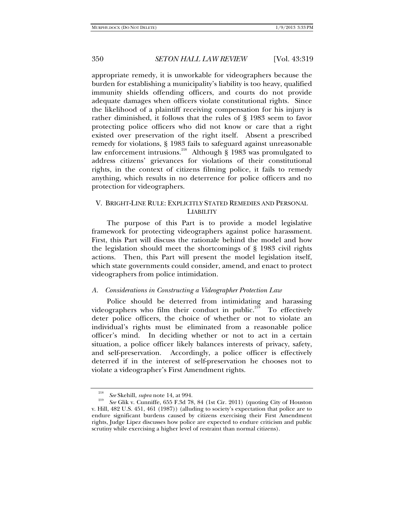appropriate remedy, it is unworkable for videographers because the burden for establishing a municipality's liability is too heavy, qualified immunity shields offending officers, and courts do not provide adequate damages when officers violate constitutional rights. Since the likelihood of a plaintiff receiving compensation for his injury is rather diminished, it follows that the rules of § 1983 seem to favor protecting police officers who did not know or care that a right existed over preservation of the right itself. Absent a prescribed remedy for violations, § 1983 fails to safeguard against unreasonable law enforcement intrusions.<sup>218</sup> Although § 1983 was promulgated to address citizens' grievances for violations of their constitutional rights, in the context of citizens filming police, it fails to remedy anything, which results in no deterrence for police officers and no protection for videographers.

# V. BRIGHT-LINE RULE: EXPLICITLY STATED REMEDIES AND PERSONAL LIABILITY

The purpose of this Part is to provide a model legislative framework for protecting videographers against police harassment. First, this Part will discuss the rationale behind the model and how the legislation should meet the shortcomings of § 1983 civil rights actions. Then, this Part will present the model legislation itself, which state governments could consider, amend, and enact to protect videographers from police intimidation.

### *A. Considerations in Constructing a Videographer Protection Law*

Police should be deterred from intimidating and harassing videographers who film their conduct in public.<sup>219</sup> To effectively deter police officers, the choice of whether or not to violate an individual's rights must be eliminated from a reasonable police officer's mind. In deciding whether or not to act in a certain situation, a police officer likely balances interests of privacy, safety, and self-preservation. Accordingly, a police officer is effectively deterred if in the interest of self-preservation he chooses not to violate a videographer's First Amendment rights.

<sup>218</sup> <sup>218</sup> *See* Skehill, *supra* note 14, at 994.

*See* Glik v. Cunniffe, 655 F.3d 78, 84 (1st Cir. 2011) (quoting City of Houston v. Hill, 482 U.S. 451, 461 (1987)) (alluding to society's expectation that police are to endure significant burdens caused by citizens exercising their First Amendment rights, Judge Lipez discusses how police are expected to endure criticism and public scrutiny while exercising a higher level of restraint than normal citizens).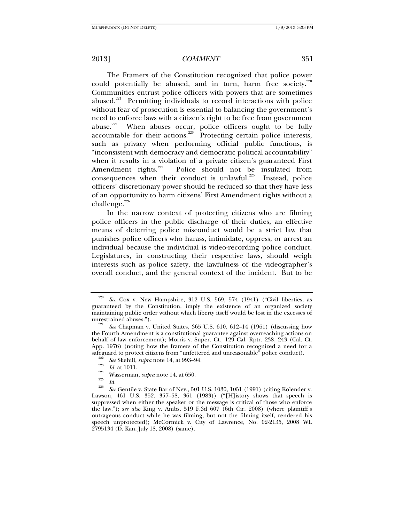The Framers of the Constitution recognized that police power could potentially be abused, and in turn, harm free society.<sup>220</sup> Communities entrust police officers with powers that are sometimes abused.<sup>221</sup> Permitting individuals to record interactions with police without fear of prosecution is essential to balancing the government's need to enforce laws with a citizen's right to be free from government abuse.<sup>222</sup> When abuses occur, police officers ought to be fully accountable for their actions.<sup>223</sup> Protecting certain police interests, such as privacy when performing official public functions, is "inconsistent with democracy and democratic political accountability" when it results in a violation of a private citizen's guaranteed First Amendment rights. $^{224}$  Police should not be insulated from consequences when their conduct is unlawful.<sup>225</sup> Instead, police officers' discretionary power should be reduced so that they have less of an opportunity to harm citizens' First Amendment rights without a challenge.<sup>226</sup>

In the narrow context of protecting citizens who are filming police officers in the public discharge of their duties, an effective means of deterring police misconduct would be a strict law that punishes police officers who harass, intimidate, oppress, or arrest an individual because the individual is video-recording police conduct. Legislatures, in constructing their respective laws, should weigh interests such as police safety, the lawfulness of the videographer's overall conduct, and the general context of the incident. But to be

<sup>224</sup> Wasserman, *supra* note 14, at 650.<br> *Id.* 225 *Id.* 226 *P* 226 *P* 226 *P* 226 *P* 226 *P* 226 *P* 226 *P* 226 *P* 226 *P* 226 *P* 226 *P* 226 *P* 226 *P* 226 *P* 226 *P* 227 *P* 227

See Cox v. New Hampshire, 312 U.S. 569, 574 (1941) ("Civil liberties, as guaranteed by the Constitution, imply the existence of an organized society maintaining public order without which liberty itself would be lost in the excesses of unrestrained abuses.").

*See* Chapman v. United States, 365 U.S. 610, 612–14 (1961) (discussing how the Fourth Amendment is a constitutional guarantee against overreaching actions on behalf of law enforcement); Morris v. Super. Ct., 129 Cal. Rptr. 238, 243 (Cal. Ct. App. 1976) (noting how the framers of the Constitution recognized a need for a safeguard to protect citizens from "unfettered and unreasonable" police conduct).<br><sup>222</sup> *See* Skehill, *supra* note 14, at 993–94.<br>*2*3 *Id.* at 1011.

*See* Gentile v. State Bar of Nev., 501 U.S. 1030, 1051 (1991) (citing Kolender v. Lawson, 461 U.S. 352, 357–58, 361 (1983)) ("[H]istory shows that speech is suppressed when either the speaker or the message is critical of those who enforce the law."); s*ee also* King v. Ambs, 519 F.3d 607 (6th Cir. 2008) (where plaintiff's outrageous conduct while he was filming, but not the filming itself, rendered his speech unprotected); McCormick v. City of Lawrence, No. 02-2135, 2008 WL 2795134 (D. Kan. July 18, 2008) (same).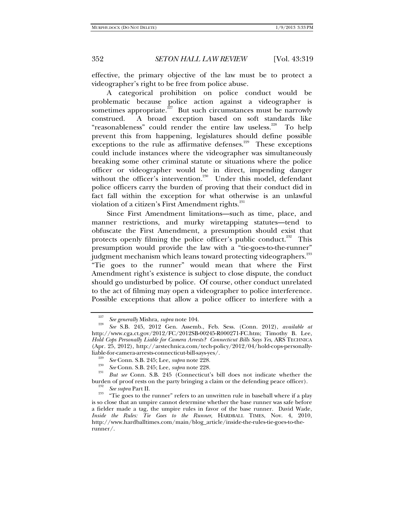effective, the primary objective of the law must be to protect a videographer's right to be free from police abuse.

A categorical prohibition on police conduct would be problematic because police action against a videographer is sometimes appropriate. $227$  But such circumstances must be narrowly construed. A broad exception based on soft standards like "reasonableness" could render the entire law useless.<sup>228</sup> To help prevent this from happening, legislatures should define possible exceptions to the rule as affirmative defenses.<sup>229</sup> These exceptions could include instances where the videographer was simultaneously breaking some other criminal statute or situations where the police officer or videographer would be in direct, impending danger without the officer's intervention.<sup>230</sup> Under this model, defendant police officers carry the burden of proving that their conduct did in fact fall within the exception for what otherwise is an unlawful violation of a citizen's First Amendment rights.<sup>231</sup>

Since First Amendment limitations—such as time, place, and manner restrictions, and murky wiretapping statutes—tend to obfuscate the First Amendment, a presumption should exist that protects openly filming the police officer's public conduct.<sup>232</sup> This presumption would provide the law with a "tie-goes-to-the-runner" judgment mechanism which leans toward protecting videographers. $^{233}$ "Tie goes to the runner" would mean that where the First Amendment right's existence is subject to close dispute, the conduct should go undisturbed by police. Of course, other conduct unrelated to the act of filming may open a videographer to police interference. Possible exceptions that allow a police officer to interfere with a

<sup>&</sup>lt;sup>227</sup> See generally Mishra, *supra* note 104.

*See* S.B. 245, 2012 Gen. Assemb., Feb. Sess. (Conn. 2012), *available at* http://www.cga.ct.gov/2012/FC/2012SB-00245-R000271-FC.htm; Timothy B. Lee, *Hold Cops Personally Liable for Camera Arrests? Connecticut Bills Says Yes*, ARS TECHNICA (Apr. 25, 2012), http://arstechnica.com/tech-policy/2012/04/hold-cops-personally-

liable-for-camera-arrests-connecticut-bill-says-yes/. 229 *See* Conn. S.B. 245; Lee, *supra* note 228. 230

*See* Conn. S.B. 245; Lee, *supra* note 228. 231

*But see* Conn. S.B. 245 (Connecticut's bill does not indicate whether the burden of proof rests on the party bringing a claim or the defending peace officer).<br><sup>232</sup> See supra Part II.

<sup>&</sup>lt;sup>233</sup> "Tie goes to the runner" refers to an unwritten rule in baseball where if a play is so close that an umpire cannot determine whether the base runner was safe before a fielder made a tag, the umpire rules in favor of the base runner. David Wade, *Inside the Rules: Tie Goes to the Runner*, HARDBALL TIMES, Nov. 4, 2010, http://www.hardballtimes.com/main/blog\_article/inside-the-rules-tie-goes-to-therunner/.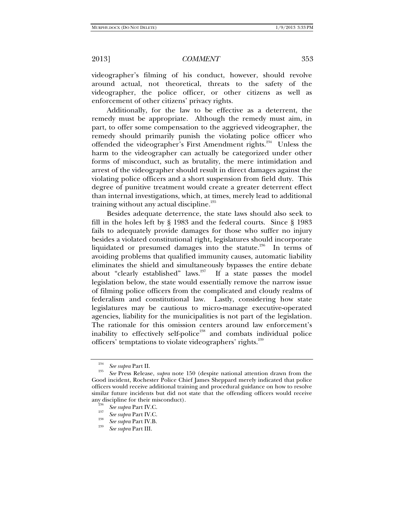videographer's filming of his conduct, however, should revolve around actual, not theoretical, threats to the safety of the videographer, the police officer, or other citizens as well as enforcement of other citizens' privacy rights.

Additionally, for the law to be effective as a deterrent, the remedy must be appropriate. Although the remedy must aim, in part, to offer some compensation to the aggrieved videographer, the remedy should primarily punish the violating police officer who offended the videographer's First Amendment rights.<sup>234</sup> Unless the harm to the videographer can actually be categorized under other forms of misconduct, such as brutality, the mere intimidation and arrest of the videographer should result in direct damages against the violating police officers and a short suspension from field duty. This degree of punitive treatment would create a greater deterrent effect than internal investigations, which, at times, merely lead to additional training without any actual discipline.<sup>235</sup>

Besides adequate deterrence, the state laws should also seek to fill in the holes left by § 1983 and the federal courts. Since § 1983 fails to adequately provide damages for those who suffer no injury besides a violated constitutional right, legislatures should incorporate liquidated or presumed damages into the statute.<sup>236</sup> In terms of avoiding problems that qualified immunity causes, automatic liability eliminates the shield and simultaneously bypasses the entire debate about "clearly established" laws. $237$  If a state passes the model legislation below, the state would essentially remove the narrow issue of filming police officers from the complicated and cloudy realms of federalism and constitutional law. Lastly, considering how state legislatures may be cautious to micro-manage executive-operated agencies, liability for the municipalities is not part of the legislation. The rationale for this omission centers around law enforcement's inability to effectively self-police<sup>238</sup> and combats individual police officers' temptations to violate videographers' rights.<sup>239</sup>

<sup>234</sup>*See supra* Part II. 235

*See* Press Release, *supra* note 150 (despite national attention drawn from the Good incident, Rochester Police Chief James Sheppard merely indicated that police officers would receive additional training and procedural guidance on how to resolve similar future incidents but did not state that the offending officers would receive any discipline for their misconduct).<br><sup>236</sup> *See supra* Part IV.C.<br><sup>237</sup> *See supra* Part IV.C.

*See supra* Part IV.C. 238 *See supra* Part IV.B. 239

*See supra* Part III.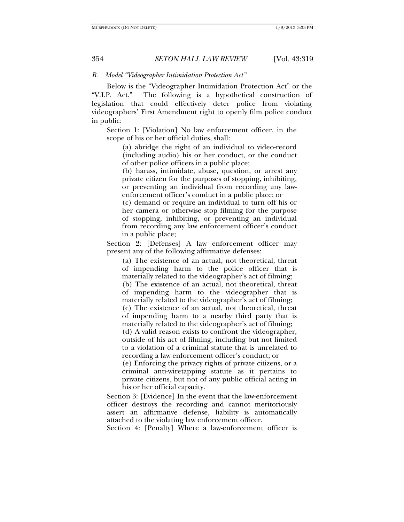### *B. Model "Videographer Intimidation Protection Act"*

Below is the "Videographer Intimidation Protection Act" or the "V.I.P. Act." The following is a hypothetical construction of legislation that could effectively deter police from violating videographers' First Amendment right to openly film police conduct in public:

Section 1: [Violation] No law enforcement officer, in the scope of his or her official duties, shall:

(a) abridge the right of an individual to video-record (including audio) his or her conduct, or the conduct of other police officers in a public place;

(b) harass, intimidate, abuse, question, or arrest any private citizen for the purposes of stopping, inhibiting, or preventing an individual from recording any lawenforcement officer's conduct in a public place; or

(c) demand or require an individual to turn off his or her camera or otherwise stop filming for the purpose of stopping, inhibiting, or preventing an individual from recording any law enforcement officer's conduct in a public place;

Section 2: [Defenses] A law enforcement officer may present any of the following affirmative defenses:

(a) The existence of an actual, not theoretical, threat of impending harm to the police officer that is materially related to the videographer's act of filming;

(b) The existence of an actual, not theoretical, threat of impending harm to the videographer that is materially related to the videographer's act of filming;

(c) The existence of an actual, not theoretical, threat of impending harm to a nearby third party that is materially related to the videographer's act of filming;

(d) A valid reason exists to confront the videographer, outside of his act of filming, including but not limited to a violation of a criminal statute that is unrelated to recording a law-enforcement officer's conduct; or

(e) Enforcing the privacy rights of private citizens, or a criminal anti-wiretapping statute as it pertains to private citizens, but not of any public official acting in his or her official capacity.

Section 3: [Evidence] In the event that the law-enforcement officer destroys the recording and cannot meritoriously assert an affirmative defense, liability is automatically attached to the violating law enforcement officer.

Section 4: [Penalty] Where a law-enforcement officer is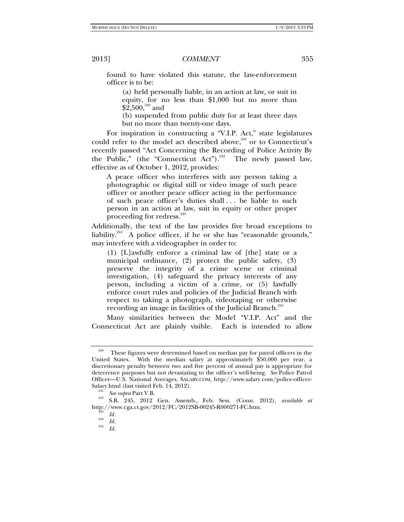found to have violated this statute, the law-enforcement officer is to be:

(a) held personally liable, in an action at law, or suit in equity, for no less than \$1,000 but no more than  $$2,500,^{240}$  and

(b) suspended from public duty for at least three days but no more than twenty-one days.

For inspiration in constructing a "V.I.P. Act," state legislatures could refer to the model act described above,<sup>241</sup> or to Connecticut's recently passed "Act Concerning the Recording of Police Activity By the Public," (the "Connecticut Act").<sup>242</sup> The newly passed law, effective as of October 1, 2012, provides:

A peace officer who interferes with any person taking a photographic or digital still or video image of such peace officer or another peace officer acting in the performance of such peace officer's duties shall . . . be liable to such person in an action at law, suit in equity or other proper proceeding for redress.<sup>243</sup>

Additionally, the text of the law provides five broad exceptions to liability.<sup>244</sup> A police officer, if he or she has "reasonable grounds," may interfere with a videographer in order to:

(1) [L]awfully enforce a criminal law of [the] state or a municipal ordinance, (2) protect the public safety, (3) preserve the integrity of a crime scene or criminal investigation, (4) safeguard the privacy interests of any person, including a victim of a crime, or (5) lawfully enforce court rules and policies of the Judicial Branch with respect to taking a photograph, videotaping or otherwise recording an image in facilities of the Judicial Branch.<sup>245</sup>

Many similarities between the Model "V.I.P. Act" and the Connecticut Act are plainly visible. Each is intended to allow

 $240$  These figures were determined based on median pay for patrol officers in the United States. With the median salary at approximately \$50,000 per year, a discretionary penalty between two and five percent of annual pay is appropriate for deterrence purposes but not devastating to the officer's well-being. *See* Police Patrol Officer—U.S. National Averages, SALARY.COM, http://www.salary.com/police-officer-Salary.html (last visited Feb. 14, 2012).<br> *See subra* Part V.B.

*See supra* Part V.B. 242 S.B. 245, 2012 Gen. Assemb., Feb. Sess. (Conn. 2012), *available at* http://www.cga.ct.gov/2012/FC/2012SB-00245-R000271-FC.htm.  $^{243}$  Id.

 $\frac{244}{245}$  *Id.* 

*Id.*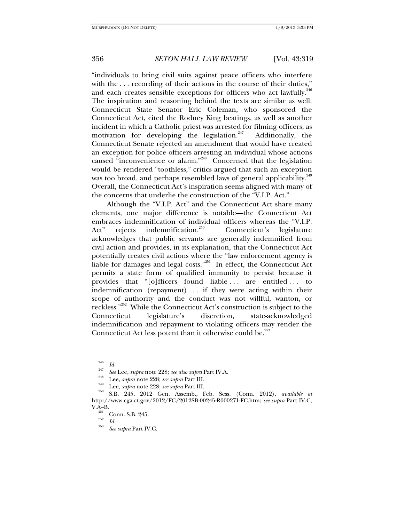"individuals to bring civil suits against peace officers who interfere with the ... recording of their actions in the course of their duties," and each creates sensible exceptions for officers who act lawfully. $^{246}$ The inspiration and reasoning behind the texts are similar as well. Connecticut State Senator Eric Coleman, who sponsored the Connecticut Act, cited the Rodney King beatings, as well as another incident in which a Catholic priest was arrested for filming officers, as motivation for developing the legislation.<sup>247</sup> Additionally, the Connecticut Senate rejected an amendment that would have created an exception for police officers arresting an individual whose actions caused "inconvenience or alarm."<sup>248</sup> Concerned that the legislation would be rendered "toothless," critics argued that such an exception was too broad, and perhaps resembled laws of general applicability. $^{249}$ Overall, the Connecticut Act's inspiration seems aligned with many of the concerns that underlie the construction of the "V.I.P. Act."

Although the "V.I.P. Act" and the Connecticut Act share many elements, one major difference is notable—the Connecticut Act embraces indemnification of individual officers whereas the "V.I.P. Act" rejects indemnification.<sup>250</sup> Connecticut's legislature acknowledges that public servants are generally indemnified from civil action and provides, in its explanation, that the Connecticut Act potentially creates civil actions where the "law enforcement agency is liable for damages and legal costs."<sup>251</sup> In effect, the Connecticut Act permits a state form of qualified immunity to persist because it provides that "[o]fficers found liable . . . are entitled . . . to indemnification (repayment) . . . if they were acting within their scope of authority and the conduct was not willful, wanton, or reckless."252 While the Connecticut Act's construction is subject to the Connecticut legislature's discretion, state-acknowledged indemnification and repayment to violating officers may render the Connecticut Act less potent than it otherwise could be.<sup>253</sup>

 $\frac{^{251}}{^{252}}$  Conn. S.B. 245.

*See supra* Part IV.C.

<sup>246</sup>

<sup>&</sup>lt;sup>246</sup> *Id.*<br>
<sup>247</sup> *See* Lee, *supra* note 228; *see also supra* Part IV.A.<br>
<sup>248</sup> Lee, *supra* note 228; *see supra* Part III.<br>
Lee, *supra* note 228; *see supra* Part III.<br>
<sup>250</sup> S.B. 245, 2012 Gen. Assemb., Feb. Sess. http://www.cga.ct.gov/2012/FC/2012SB-00245-R000271-FC.htm; *see supra* Part IV.C,